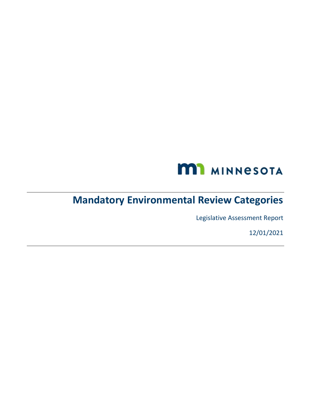

# **Mandatory Environmental Review Categories**

Legislative Assessment Report

12/01/2021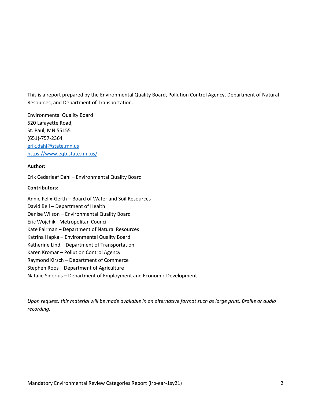This is a report prepared by the Environmental Quality Board, Pollution Control Agency, Department of Natural Resources, and Department of Transportation.

Environmental Quality Board 520 Lafayette Road, St. Paul, MN 55155 (651)-757-2364 [erik.dahl@state.mn.us](mailto:erik.dahl@state.mn.us) <https://www.eqb.state.mn.us/>

#### **Author:**

Erik Cedarleaf Dahl – Environmental Quality Board

#### **Contributors:**

Annie Felix-Gerth – Board of Water and Soil Resources David Bell – Department of Health Denise Wilson – Environmental Quality Board Eric Wojchik –Metropolitan Council Kate Fairman – Department of Natural Resources Katrina Hapka – Environmental Quality Board Katherine Lind – Department of Transportation Karen Kromar – Pollution Control Agency Raymond Kirsch – Department of Commerce Stephen Roos – Department of Agriculture

Natalie Siderius – Department of Employment and Economic Development

*Upon request, this material will be made available in an alternative format such as large print, Braille or audio recording.*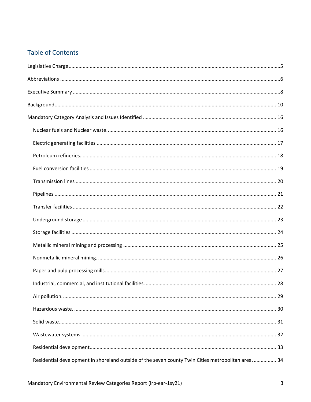#### **Table of Contents**

| Residential development in shoreland outside of the seven county Twin Cities metropolitan area 34 |
|---------------------------------------------------------------------------------------------------|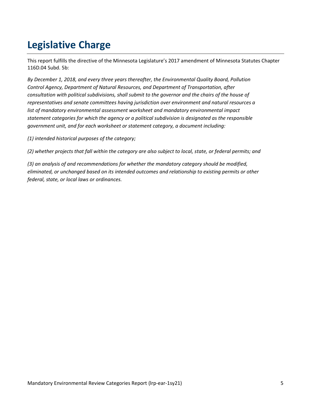# <span id="page-4-0"></span>**Legislative Charge**

This report fulfills the directive of the Minnesota Legislature's 2017 amendment of Minnesota Statutes Chapter 116D.04 Subd. 5b:

*By December 1, 2018, and every three years thereafter, the Environmental Quality Board, Pollution Control Agency, Department of Natural Resources, and Department of Transportation, after consultation with political subdivisions, shall submit to the governor and the chairs of the house of representatives and senate committees having jurisdiction over environment and natural resources a list of mandatory environmental assessment worksheet and mandatory environmental impact statement categories for which the agency or a political subdivision is designated as the responsible government unit, and for each worksheet or statement category, a document including:*

*(1) intended historical purposes of the category;*

*(2) whether projects that fall within the category are also subject to local, state, or federal permits; and*

*(3) an analysis of and recommendations for whether the mandatory category should be modified, eliminated, or unchanged based on its intended outcomes and relationship to existing permits or other federal, state, or local laws or ordinances.*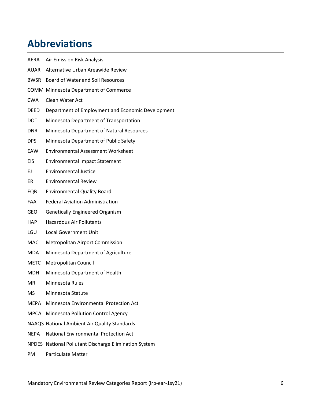# <span id="page-5-0"></span>**Abbreviations**

| AERA        | Air Emission Risk Analysis                            |
|-------------|-------------------------------------------------------|
| AUAR        | Alternative Urban Areawide Review                     |
| BWSR        | Board of Water and Soil Resources                     |
|             | <b>COMM Minnesota Department of Commerce</b>          |
| <b>CWA</b>  | Clean Water Act                                       |
| <b>DEED</b> | Department of Employment and Economic Development     |
| DOT.        | Minnesota Department of Transportation                |
| DNR.        | Minnesota Department of Natural Resources             |
| DPS         | Minnesota Department of Public Safety                 |
| EAW         | <b>Environmental Assessment Worksheet</b>             |
| <b>EIS</b>  | <b>Environmental Impact Statement</b>                 |
| EJ.         | <b>Environmental Justice</b>                          |
| ER          | <b>Environmental Review</b>                           |
| EQB         | <b>Environmental Quality Board</b>                    |
| FAA         | <b>Federal Aviation Administration</b>                |
| <b>GEO</b>  | <b>Genetically Engineered Organism</b>                |
| HAP.        | <b>Hazardous Air Pollutants</b>                       |
| LGU         | <b>Local Government Unit</b>                          |
| MAC         | <b>Metropolitan Airport Commission</b>                |
| <b>MDA</b>  | Minnesota Department of Agriculture                   |
| <b>METC</b> | <b>Metropolitan Council</b>                           |
| MDH         | Minnesota Department of Health                        |
| МR          | Minnesota Rules                                       |
| MS          | Minnesota Statute                                     |
| MEPA        | Minnesota Environmental Protection Act                |
| MPCA        | <b>Minnesota Pollution Control Agency</b>             |
|             | NAAQS National Ambient Air Quality Standards          |
| <b>NEPA</b> | <b>National Environmental Protection Act</b>          |
|             | NPDES National Pollutant Discharge Elimination System |

PM Particulate Matter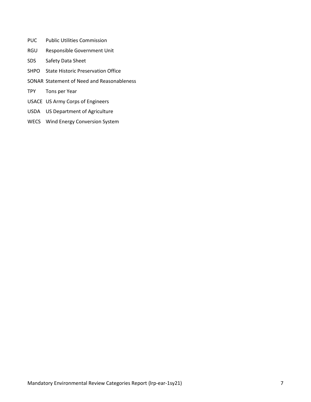- PUC Public Utilities Commission
- RGU Responsible Government Unit
- SDS Safety Data Sheet
- SHPO State Historic Preservation Office
- SONAR Statement of Need and Reasonableness
- TPY Tons per Year
- USACE US Army Corps of Engineers
- USDA US Department of Agriculture
- WECS Wind Energy Conversion System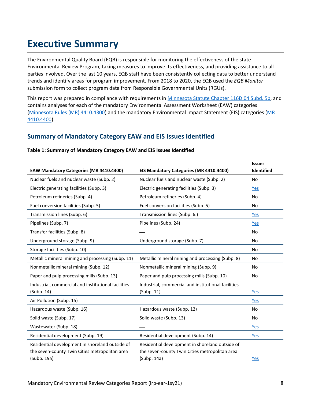# <span id="page-7-0"></span>**Executive Summary**

The Environmental Quality Board (EQB) is responsible for monitoring the effectiveness of the state Environmental Review Program, taking measures to improve its effectiveness, and providing assistance to all parties involved. Over the last 10 years, EQB staff have been consistently collecting data to better understand trends and identify areas for program improvement. From 2018 to 2020, the EQB used the *EQB Monitor* submission form to collect program data from Responsible Governmental Units (RGUs).

This report was prepared in compliance with requirements in [Minnesota Statute Chapter 116D.04 Subd. 5b,](https://www.revisor.mn.gov/statutes/cite/116D.04#stat.116D.04.5b) and contains analyses for each of the mandatory Environmental Assessment Worksheet (EAW) categories [\(Minnesota Rules \(MR\)](https://www.revisor.mn.gov/rules/4410.4300/) 4410.4300) and the mandatory Environmental Impact Statement (EIS) categories [\(MR](https://www.revisor.mn.gov/rules/4410.4400/)  [4410.4400\)](https://www.revisor.mn.gov/rules/4410.4400/).

#### **Summary of Mandatory Category EAW and EIS Issues Identified**

|                                                     |                                                     | <b>Issues</b>  |
|-----------------------------------------------------|-----------------------------------------------------|----------------|
| <b>EAW Mandatory Categories (MR 4410.4300)</b>      | EIS Mandatory Categories (MR 4410.4400)             | Identified     |
| Nuclear fuels and nuclear waste (Subp. 2)           | Nuclear fuels and nuclear waste (Subp. 2)           | No             |
| Electric generating facilities (Subp. 3)            | Electric generating facilities (Subp. 3)            | Yes            |
| Petroleum refineries (Subp. 4)                      | Petroleum refineries (Subp. 4)                      | <b>No</b>      |
| Fuel conversion facilities (Subp. 5)                | Fuel conversion facilities (Subp. 5)                | <b>No</b>      |
| Transmission lines (Subp. 6)                        | Transmission lines (Subp. 6.)                       | Yes            |
| Pipelines (Subp. 7)                                 | Pipelines (Subp. 24)                                | Yes            |
| Transfer facilities (Subp. 8)                       |                                                     | N <sub>o</sub> |
| Underground storage (Subp. 9)                       | Underground storage (Subp. 7)                       | <b>No</b>      |
| Storage facilities (Subp. 10)                       |                                                     | No             |
| Metallic mineral mining and processing (Subp. 11)   | Metallic mineral mining and processing (Subp. 8)    | <b>No</b>      |
| Nonmetallic mineral mining (Subp. 12)               | Nonmetallic mineral mining (Subp. 9)                | No             |
| Paper and pulp processing mills (Subp. 13)          | Paper and pulp processing mills (Subp. 10)          | No             |
| Industrial, commercial and institutional facilities | Industrial, commercial and institutional facilities |                |
| (Subp. 14)                                          | (Suby. 11)                                          | Yes            |
| Air Pollution (Subp. 15)                            |                                                     | <u>Yes</u>     |
| Hazardous waste (Subp. 16)                          | Hazardous waste (Subp. 12)                          | <b>No</b>      |
| Solid waste (Subp. 17)                              | Solid waste (Subp. 13)                              | <b>No</b>      |
| Wastewater (Subp. 18)                               |                                                     | Yes            |
| Residential development (Subp. 19)                  | Residential development (Subp. 14)                  | <u>Yes</u>     |
| Residential development in shoreland outside of     | Residential development in shoreland outside of     |                |
| the seven-county Twin Cities metropolitan area      | the seven-county Twin Cities metropolitan area      |                |
| (Subp. 19a)                                         | (Subp. 14a)                                         | Yes            |

#### **Table 1: Summary of Mandatory Category EAW and EIS Issues Identified**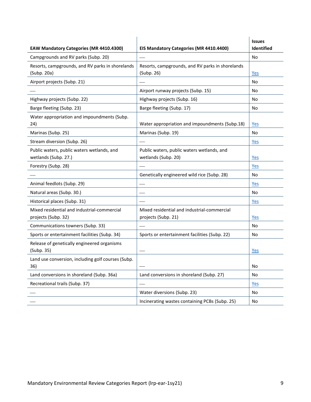| <b>EAW Mandatory Categories (MR 4410.4300)</b>                     | EIS Mandatory Categories (MR 4410.4400)                            | <b>Issues</b><br><b>Identified</b> |
|--------------------------------------------------------------------|--------------------------------------------------------------------|------------------------------------|
| Campgrounds and RV parks (Subp. 20)                                |                                                                    | No                                 |
| Resorts, campgrounds, and RV parks in shorelands<br>(Subp. 20a)    | Resorts, campgrounds, and RV parks in shorelands<br>(Subp. 26)     | <u>Yes</u>                         |
| Airport projects (Subp. 21)                                        |                                                                    | No                                 |
|                                                                    | Airport runway projects (Subp. 15)                                 | No                                 |
| Highway projects (Subp. 22)                                        | Highway projects (Subp. 16)                                        | No                                 |
| Barge fleeting (Subp. 23)                                          | Barge fleeting (Subp. 17)                                          | No                                 |
| Water appropriation and impoundments (Subp.<br>24)                 | Water appropriation and impoundments (Subp.18)                     | Yes                                |
| Marinas (Subp. 25)                                                 | Marinas (Subp. 19)                                                 | <b>No</b>                          |
| Stream diversion (Subp. 26)                                        |                                                                    | Yes                                |
| Public waters, public waters wetlands, and<br>wetlands (Subp. 27.) | Public waters, public waters wetlands, and<br>wetlands (Subp. 20)  | Yes                                |
| Forestry (Subp. 28)                                                |                                                                    | Yes                                |
|                                                                    | Genetically engineered wild rice (Subp. 28)                        | No                                 |
| Animal feedlots (Subp. 29)                                         |                                                                    | Yes                                |
| Natural areas (Subp. 30.)                                          |                                                                    | No                                 |
| Historical places (Subp. 31)                                       |                                                                    | <u>Yes</u>                         |
| Mixed residential and industrial-commercial<br>projects (Subp. 32) | Mixed residential and industrial-commercial<br>projects (Subp. 21) | <u>Yes</u>                         |
| Communications towners (Subp. 33)                                  |                                                                    | No                                 |
| Sports or entertainment facilities (Subp. 34)                      | Sports or entertainment facilities (Subp. 22)                      | No                                 |
| Release of genetically engineered organisms<br>(Subp. 35)          |                                                                    | <u>Yes</u>                         |
| Land use conversion, including golf courses (Subp.<br>36)          |                                                                    | No                                 |
| Land conversions in shoreland (Subp. 36a)                          | Land conversions in shoreland (Subp. 27)                           | No                                 |
| Recreational trails (Subp. 37)                                     |                                                                    | Yes                                |
|                                                                    | Water diversions (Subp. 23)                                        | No                                 |
|                                                                    | Incinerating wastes containing PCBs (Subp. 25)                     | No                                 |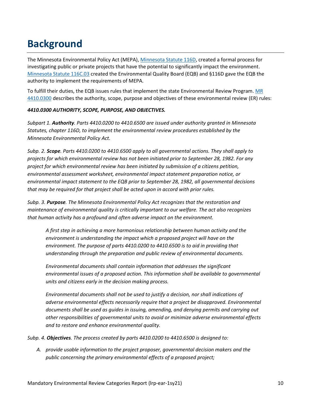# <span id="page-9-0"></span>**Background**

The Minnesota Environmental Policy Act (MEPA)[, Minnesota Statute](https://www.revisor.mn.gov/statutes/cite/116D.04) 116D, created a formal process for investigating public or private projects that have the potential to significantly impact the environment. [Minnesota Statute 116C.03](https://www.revisor.mn.gov/statutes/cite/116C.03) created the Environmental Quality Board (EQB) and §116D gave the EQB the authority to implement the requirements of MEPA*.*

To fulfill their duties, the EQB issues rules that implement the state Environmental Review Program[. MR](https://www.revisor.mn.gov/rules/4410.0300/)  [4410.0300](https://www.revisor.mn.gov/rules/4410.0300/) describes the authority, scope, purpose and objectives of these environmental review (ER) rules:

#### *4410.0300 AUTHORITY, SCOPE, PURPOSE, AND OBJECTIVES.*

*Subpart 1. Authority. Parts 4410.0200 to 4410.6500 are issued under authority granted in Minnesota Statutes, chapter 116D, to implement the environmental review procedures established by the Minnesota Environmental Policy Act.*

*Subp. 2. Scope. Parts 4410.0200 to 4410.6500 apply to all governmental actions. They shall apply to projects for which environmental review has not been initiated prior to September 28, 1982. For any project for which environmental review has been initiated by submission of a citizens petition, environmental assessment worksheet, environmental impact statement preparation notice, or environmental impact statement to the EQB prior to September 28, 1982, all governmental decisions that may be required for that project shall be acted upon in accord with prior rules.*

*Subp. 3. Purpose. The Minnesota Environmental Policy Act recognizes that the restoration and maintenance of environmental quality is critically important to our welfare. The act also recognizes that human activity has a profound and often adverse impact on the environment.*

*A first step in achieving a more harmonious relationship between human activity and the environment is understanding the impact which a proposed project will have on the environment. The purpose of parts 4410.0200 to 4410.6500 is to aid in providing that understanding through the preparation and public review of environmental documents.*

*Environmental documents shall contain information that addresses the significant environmental issues of a proposed action. This information shall be available to governmental units and citizens early in the decision making process.*

*Environmental documents shall not be used to justify a decision, nor shall indications of adverse environmental effects necessarily require that a project be disapproved. Environmental documents shall be used as guides in issuing, amending, and denying permits and carrying out other responsibilities of governmental units to avoid or minimize adverse environmental effects and to restore and enhance environmental quality.*

*Subp. 4. Objectives. The process created by parts 4410.0200 to 4410.6500 is designed to:*

*A. provide usable information to the project proposer, governmental decision makers and the public concerning the primary environmental effects of a proposed project;*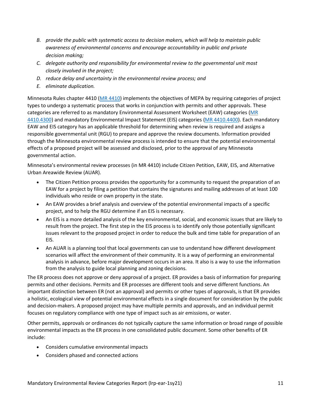- *B. provide the public with systematic access to decision makers, which will help to maintain public awareness of environmental concerns and encourage accountability in public and private decision making;*
- *C. delegate authority and responsibility for environmental review to the governmental unit most closely involved in the project;*
- *D. reduce delay and uncertainty in the environmental review process; and*
- *E. eliminate duplication.*

Minnesota Rules chapter 4410 [\(MR 4410\)](https://www.revisor.mn.gov/rules/4410/) implements the objectives of MEPA by requiring categories of project types to undergo a systematic process that works in conjunction with permits and other approvals. These categories are referred to as mandatory Environmental Assessment Worksheet (EAW) categories [\(MR](https://www.revisor.mn.gov/rules/4410.4300/)  [4410.4300\)](https://www.revisor.mn.gov/rules/4410.4300/) and mandatory Environmental Impact Statement (EIS) categories [\(MR 4410.4400\)](https://www.revisor.mn.gov/rules/4410.4400/). Each mandatory EAW and EIS category has an applicable threshold for determining when review is required and assigns a responsible governmental unit (RGU) to prepare and approve the review documents. Information provided through the Minnesota environmental review process is intended to ensure that the potential environmental effects of a proposed project will be assessed and disclosed, prior to the approval of any Minnesota governmental action.

Minnesota's environmental review processes (in MR 4410) include Citizen Petition, EAW, EIS, and Alternative Urban Areawide Review (AUAR).

- The Citizen Petition process provides the opportunity for a community to request the preparation of an EAW for a project by filing a petition that contains the signatures and mailing addresses of at least 100 individuals who reside or own property in the state.
- An EAW provides a brief analysis and overview of the potential environmental impacts of a specific project, and to help the RGU determine if an EIS is necessary.
- An EIS is a more detailed analysis of the key environmental, social, and economic issues that are likely to result from the project. The first step in the EIS process is to identify only those potentially significant issues relevant to the proposed project in order to reduce the bulk and time table for preparation of an EIS.
- An AUAR is a planning tool that local governments can use to understand how different development scenarios will affect the environment of their community. It is a way of performing an environmental analysis in advance, before major development occurs in an area. It also is a way to use the information from the analysis to guide local planning and zoning decisions.

The ER process does not approve or deny approval of a project. ER provides a basis of information for preparing permits and other decisions. Permits and ER processes are different tools and serve different functions. An important distinction between ER (not an approval) and permits or other types of approvals, is that ER provides a holistic, ecological view of potential environmental effects in a single document for consideration by the public and decision-makers. A proposed project may have multiple permits and approvals, and an individual permit focuses on regulatory compliance with one type of impact such as air emissions, or water.

Other permits, approvals or ordinances do not typically capture the same information or broad range of possible environmental impacts as the ER process in one consolidated public document. Some other benefits of ER include:

- Considers cumulative environmental impacts
- Considers phased and connected actions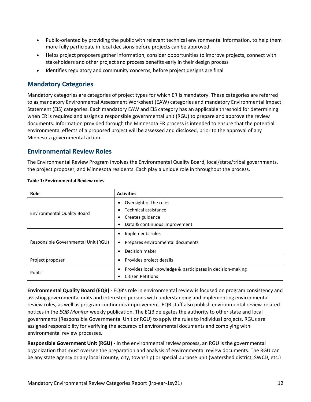- Public-oriented by providing the public with relevant technical environmental information, to help them more fully participate in local decisions before projects can be approved.
- Helps project proposers gather information, consider opportunities to improve projects, connect with stakeholders and other project and process benefits early in their design process
- Identifies regulatory and community concerns, before project designs are final

#### **Mandatory Categories**

Mandatory categories are categories of project types for which ER is mandatory. These categories are referred to as mandatory Environmental Assessment Worksheet (EAW) categories and mandatory Environmental Impact Statement (EIS) categories. Each mandatory EAW and EIS category has an applicable threshold for determining when ER is required and assigns a responsible governmental unit (RGU) to prepare and approve the review documents. Information provided through the Minnesota ER process is intended to ensure that the potential environmental effects of a proposed project will be assessed and disclosed, prior to the approval of any Minnesota governmental action.

#### **Environmental Review Roles**

The Environmental Review Program involves the Environmental Quality Board, local/state/tribal governments, the project proposer, and Minnesota residents. Each play a unique role in throughout the process.

| <b>Role</b>                                       | <b>Activities</b>                                                                      |  |
|---------------------------------------------------|----------------------------------------------------------------------------------------|--|
|                                                   | Oversight of the rules<br>$\bullet$                                                    |  |
| <b>Environmental Quality Board</b>                | Technical assistance<br>$\bullet$                                                      |  |
|                                                   | Creates guidance                                                                       |  |
|                                                   | Data & continuous improvement<br>$\bullet$                                             |  |
|                                                   | Implements rules<br>٠                                                                  |  |
| Responsible Governmental Unit (RGU)               | Prepares environmental documents<br>٠                                                  |  |
|                                                   | Decision maker<br>$\bullet$                                                            |  |
| Provides project details<br>Project proposer<br>٠ |                                                                                        |  |
| Public                                            | Provides local knowledge & participates in decision-making<br><b>Citizen Petitions</b> |  |

**Table 1: Environmental Review roles**

**Environmental Quality Board (EQB) -** EQB's role in environmental review is focused on program consistency and assisting governmental units and interested persons with understanding and implementing environmental review rules, as well as program continuous improvement. EQB staff also publish environmental review-related notices in the *EQB Monitor* weekly publication. The EQB delegates the authority to other state and local governments (Responsible Governmental Unit or RGU) to apply the rules to individual projects. RGUs are assigned responsibility for verifying the accuracy of environmental documents and complying with environmental review processes.

**Responsible Government Unit (RGU) -** In the environmental review process, an RGU is the governmental organization that must oversee the preparation and analysis of environmental review documents. The RGU can be any state agency or any local (county, city, township) or special purpose unit (watershed district, SWCD, etc.)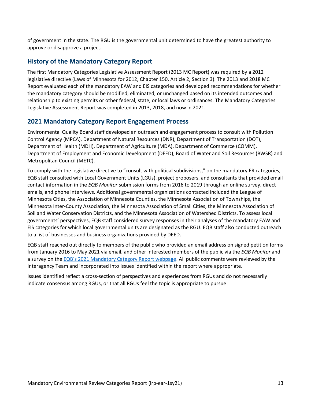of government in the state. The RGU is the governmental unit determined to have the greatest authority to approve or disapprove a project.

#### **History of the Mandatory Category Report**

The first Mandatory Categories Legislative Assessment Report (2013 MC Report) was required by a 2012 legislative directive (Laws of Minnesota for 2012, Chapter 150, Article 2, Section 3). The 2013 and 2018 MC Report evaluated each of the mandatory EAW and EIS categories and developed recommendations for whether the mandatory category should be modified, eliminated, or unchanged based on its intended outcomes and relationship to existing permits or other federal, state, or local laws or ordinances. The Mandatory Categories Legislative Assessment Report was completed in 2013, 2018, and now in 2021.

#### **2021 Mandatory Category Report Engagement Process**

Environmental Quality Board staff developed an outreach and engagement process to consult with Pollution Control Agency (MPCA), Department of Natural Resources (DNR), Department of Transportation (DOT), Department of Health (MDH), Department of Agriculture (MDA), Department of Commerce (COMM), Department of Employment and Economic Development (DEED), Board of Water and Soil Resources (BWSR) and Metropolitan Council (METC).

To comply with the legislative directive to "consult with political subdivisions," on the mandatory ER categories, EQB staff consulted with Local Government Units (LGUs), project proposers, and consultants that provided email contact information in the *EQB Monitor* submission forms from 2016 to 2019 through an online survey, direct emails, and phone interviews. Additional governmental organizations contacted included the League of Minnesota Cities, the Association of Minnesota Counties, the Minnesota Association of Townships, the Minnesota Inter-County Association, the Minnesota Association of Small Cities, the Minnesota Association of Soil and Water Conservation Districts, and the Minnesota Association of Watershed Districts. To assess local governments' perspectives, EQB staff considered survey responses in their analyses of the mandatory EAW and EIS categories for which local governmental units are designated as the RGU. EQB staff also conducted outreach to a list of businesses and business organizations provided by DEED.

EQB staff reached out directly to members of the public who provided an email address on signed petition forms from January 2016 to May 2021 via email, and other interested members of the public via the *EQB Monitor* and a survey on the EQB's [2021 Mandatory Category Report webpage.](https://www.eqb.state.mn.us/content/2021-mandatory-category-report) All public comments were reviewed by the Interagency Team and incorporated into issues identified within the report where appropriate.

Issues identified reflect a cross-section of perspectives and experiences from RGUs and do not necessarily indicate consensus among RGUs, or that all RGUs feel the topic is appropriate to pursue.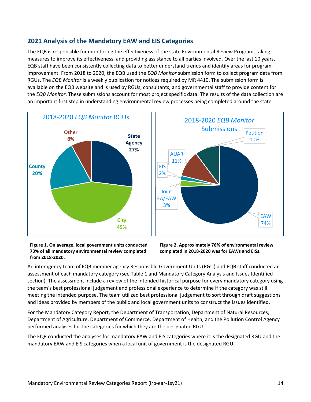#### **2021 Analysis of the Mandatory EAW and EIS Categories**

The EQB is responsible for monitoring the effectiveness of the state Environmental Review Program, taking measures to improve its effectiveness, and providing assistance to all parties involved. Over the last 10 years, EQB staff have been consistently collecting data to better understand trends and identify areas for program improvement. From 2018 to 2020, the EQB used the *EQB Monitor* submission form to collect program data from RGUs. The *EQB Monitor* is a weekly publication for notices required by MR 4410. The submission form is available on the EQB website and is used by RGUs, consultants, and governmental staff to provide content for the *EQB Monitor*. These submissions account for most project specific data. The results of the data collection are an important first step in understanding environmental review processes being completed around the state.



**Figure 1. On average, local government units conducted 73% of all mandatory environmental review completed from 2018-2020.**

**Figure 2. Approximately 76% of environmental review completed in 2018-2020 was for EAWs and EISs.**

An interagency team of EQB member agency Responsible Government Units (RGU) and EQB staff conducted an assessment of each mandatory category (see Table 1 and Mandatory Category Analysis and Issues Identified section). The assessment include a review of the intended historical purpose for every mandatory category using the team's best professional judgement and professional experience to determine if the category was still meeting the intended purpose. The team utilized best professional judgement to sort through draft suggestions and ideas provided by members of the public and local government units to construct the issues identified.

For the Mandatory Category Report, the Department of Transportation, Department of Natural Resources, Department of Agriculture, Department of Commerce, Department of Health, and the Pollution Control Agency performed analyses for the categories for which they are the designated RGU.

The EQB conducted the analyses for mandatory EAW and EIS categories where it is the designated RGU and the mandatory EAW and EIS categories when a local unit of government is the designated RGU.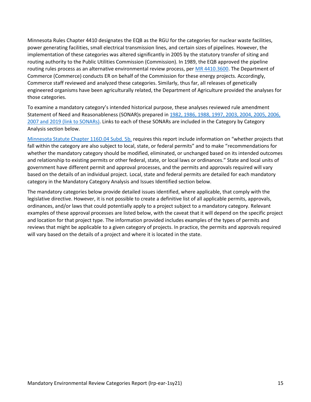Minnesota Rules Chapter 4410 designates the EQB as the RGU for the categories for nuclear waste facilities, power generating facilities, small electrical transmission lines, and certain sizes of pipelines. However, the implementation of these categories was altered significantly in 2005 by the statutory transfer of siting and routing authority to the Public Utilities Commission (Commission). In 1989, the EQB approved the pipeline routing rules process as an alternative environmental review process, per [MR 4410.3600.](https://www.revisor.mn.gov/rules/4410.3600/) The Department of Commerce (Commerce) conducts ER on behalf of the Commission for these energy projects. Accordingly, Commerce staff reviewed and analyzed these categories. Similarly, thus far, all releases of genetically engineered organisms have been agriculturally related, the Department of Agriculture provided the analyses for those categories.

To examine a mandatory category's intended historical purpose, these analyses reviewed rule amendment Statement of Need and Reasonableness (SONAR)s prepared i[n 1982, 1986, 1988, 1997, 2003, 2004, 2005,](https://www.eqb.state.mn.us/EnvRevRegulations) 2006, [2007 and 2019](https://www.eqb.state.mn.us/EnvRevRegulations) (link to SONARs). Links to each of these SONARs are included in the Category by Category Analysis section below.

[Minnesota Statute Chapter 116D.04 Subd. 5b.](https://www.revisor.mn.gov/statutes/cite/116D.04#stat.116D.04.5b) requires this report include information on "whether projects that fall within the category are also subject to local, state, or federal permits" and to make "recommendations for whether the mandatory category should be modified, eliminated, or unchanged based on its intended outcomes and relationship to existing permits or other federal, state, or local laws or ordinances." State and local units of government have different permit and approval processes, and the permits and approvals required will vary based on the details of an individual project. Local, state and federal permits are detailed for each mandatory category in the Mandatory Category Analysis and Issues Identified section below.

The mandatory categories below provide detailed issues identified, where applicable, that comply with the legislative directive. However, it is not possible to create a definitive list of all applicable permits, approvals, ordinances, and/or laws that could potentially apply to a project subject to a mandatory category. Relevant examples of these approval processes are listed below, with the caveat that it will depend on the specific project and location for that project type. The information provided includes examples of the types of permits and reviews that might be applicable to a given category of projects. In practice, the permits and approvals required will vary based on the details of a project and where it is located in the state.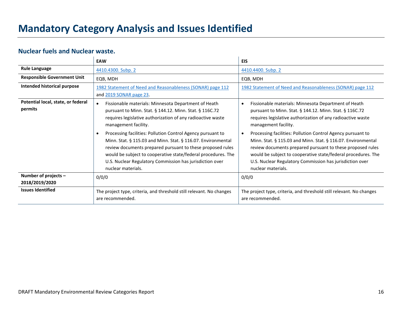# **Mandatory Category Analysis and Issues Identified**

#### **Nuclear fuels and Nuclear waste.**

<span id="page-15-1"></span><span id="page-15-0"></span>

|                                               | <b>EAW</b>                                                                                                                                                                                                                                                                                                                                   | <b>EIS</b>                                                                                                                                                                                                                                                                                                                                   |
|-----------------------------------------------|----------------------------------------------------------------------------------------------------------------------------------------------------------------------------------------------------------------------------------------------------------------------------------------------------------------------------------------------|----------------------------------------------------------------------------------------------------------------------------------------------------------------------------------------------------------------------------------------------------------------------------------------------------------------------------------------------|
| <b>Rule Language</b>                          | 4410.4300. Subp. 2                                                                                                                                                                                                                                                                                                                           | 4410.4400. Subp. 2                                                                                                                                                                                                                                                                                                                           |
| <b>Responsible Government Unit</b>            | EQB, MDH                                                                                                                                                                                                                                                                                                                                     | EQB, MDH                                                                                                                                                                                                                                                                                                                                     |
| Intended historical purpose                   | 1982 Statement of Need and Reasonableness (SONAR) page 112<br>and 2019 SONAR page 23.                                                                                                                                                                                                                                                        | 1982 Statement of Need and Reasonableness (SONAR) page 112                                                                                                                                                                                                                                                                                   |
| Potential local, state, or federal<br>permits | Fissionable materials: Minnesota Department of Heath<br>$\bullet$<br>pursuant to Minn. Stat. § 144.12. Minn. Stat. § 116C.72<br>requires legislative authorization of any radioactive waste<br>management facility.                                                                                                                          | Fissionable materials: Minnesota Department of Heath<br>pursuant to Minn. Stat. § 144.12. Minn. Stat. § 116C.72<br>requires legislative authorization of any radioactive waste<br>management facility.                                                                                                                                       |
|                                               | Processing facilities: Pollution Control Agency pursuant to<br>Minn. Stat. § 115.03 and Minn. Stat. § 116.07. Environmental<br>review documents prepared pursuant to these proposed rules<br>would be subject to cooperative state/federal procedures. The<br>U.S. Nuclear Regulatory Commission has jurisdiction over<br>nuclear materials. | Processing facilities: Pollution Control Agency pursuant to<br>Minn. Stat. § 115.03 and Minn. Stat. § 116.07. Environmental<br>review documents prepared pursuant to these proposed rules<br>would be subject to cooperative state/federal procedures. The<br>U.S. Nuclear Regulatory Commission has jurisdiction over<br>nuclear materials. |
| Number of projects -<br>2018/2019/2020        | 0/0/0                                                                                                                                                                                                                                                                                                                                        | 0/0/0                                                                                                                                                                                                                                                                                                                                        |
| <b>Issues Identified</b>                      | The project type, criteria, and threshold still relevant. No changes<br>are recommended.                                                                                                                                                                                                                                                     | The project type, criteria, and threshold still relevant. No changes<br>are recommended.                                                                                                                                                                                                                                                     |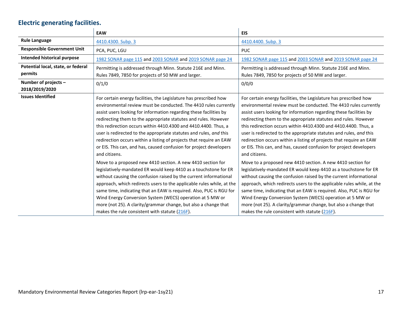# **Electric generating facilities.**

<span id="page-16-0"></span>

|                                               | <b>EAW</b>                                                                                                                                                                                                                                                                                                                                                                                                                                                                                                                                                                            | <b>EIS</b>                                                                                                                                                                                                                                                                                                                                                                                                                                                                                                                                                                            |
|-----------------------------------------------|---------------------------------------------------------------------------------------------------------------------------------------------------------------------------------------------------------------------------------------------------------------------------------------------------------------------------------------------------------------------------------------------------------------------------------------------------------------------------------------------------------------------------------------------------------------------------------------|---------------------------------------------------------------------------------------------------------------------------------------------------------------------------------------------------------------------------------------------------------------------------------------------------------------------------------------------------------------------------------------------------------------------------------------------------------------------------------------------------------------------------------------------------------------------------------------|
| <b>Rule Language</b>                          | 4410.4300. Subp. 3                                                                                                                                                                                                                                                                                                                                                                                                                                                                                                                                                                    | 4410.4400. Subp. 3                                                                                                                                                                                                                                                                                                                                                                                                                                                                                                                                                                    |
| <b>Responsible Government Unit</b>            | PCA, PUC, LGU                                                                                                                                                                                                                                                                                                                                                                                                                                                                                                                                                                         | <b>PUC</b>                                                                                                                                                                                                                                                                                                                                                                                                                                                                                                                                                                            |
| Intended historical purpose                   | 1982 SONAR page 115 and 2003 SONAR and 2019 SONAR page 24                                                                                                                                                                                                                                                                                                                                                                                                                                                                                                                             | 1982 SONAR page 115 and 2003 SONAR and 2019 SONAR page 24                                                                                                                                                                                                                                                                                                                                                                                                                                                                                                                             |
| Potential local, state, or federal<br>permits | Permitting is addressed through Minn. Statute 216E and Minn.<br>Rules 7849, 7850 for projects of 50 MW and larger.                                                                                                                                                                                                                                                                                                                                                                                                                                                                    | Permitting is addressed through Minn. Statute 216E and Minn.<br>Rules 7849, 7850 for projects of 50 MW and larger.                                                                                                                                                                                                                                                                                                                                                                                                                                                                    |
| Number of projects -<br>2018/2019/2020        | 0/1/0                                                                                                                                                                                                                                                                                                                                                                                                                                                                                                                                                                                 | 0/0/0                                                                                                                                                                                                                                                                                                                                                                                                                                                                                                                                                                                 |
| <b>Issues Identified</b>                      | For certain energy facilities, the Legislature has prescribed how<br>environmental review must be conducted. The 4410 rules currently<br>assist users looking for information regarding these facilities by<br>redirecting them to the appropriate statutes and rules. However<br>this redirection occurs within 4410.4300 and 4410.4400. Thus, a<br>user is redirected to the appropriate statutes and rules, and this<br>redirection occurs within a listing of projects that require an EAW<br>or EIS. This can, and has, caused confusion for project developers<br>and citizens. | For certain energy facilities, the Legislature has prescribed how<br>environmental review must be conducted. The 4410 rules currently<br>assist users looking for information regarding these facilities by<br>redirecting them to the appropriate statutes and rules. However<br>this redirection occurs within 4410.4300 and 4410.4400. Thus, a<br>user is redirected to the appropriate statutes and rules, and this<br>redirection occurs within a listing of projects that require an EAW<br>or EIS. This can, and has, caused confusion for project developers<br>and citizens. |
|                                               | Move to a proposed new 4410 section. A new 4410 section for<br>legislatively-mandated ER would keep 4410 as a touchstone for ER<br>without causing the confusion raised by the current informational<br>approach, which redirects users to the applicable rules while, at the<br>same time, indicating that an EAW is required. Also, PUC is RGU for<br>Wind Energy Conversion System (WECS) operation at 5 MW or<br>more (not 25). A clarity/grammar change, but also a change that<br>makes the rule consistent with statute (216F).                                                | Move to a proposed new 4410 section. A new 4410 section for<br>legislatively-mandated ER would keep 4410 as a touchstone for ER<br>without causing the confusion raised by the current informational<br>approach, which redirects users to the applicable rules while, at the<br>same time, indicating that an EAW is required. Also, PUC is RGU for<br>Wind Energy Conversion System (WECS) operation at 5 MW or<br>more (not 25). A clarity/grammar change, but also a change that<br>makes the rule consistent with statute (216F).                                                |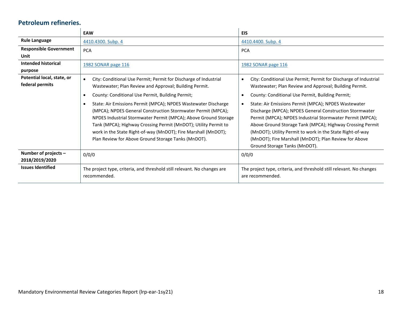#### **Petroleum refineries.**

<span id="page-17-0"></span>

|                                               | <b>EAW</b>                                                                                                                                                                                                                                                                                                                                                                                                 | <b>EIS</b>                                                                                                                                                                                                                                                                                                                                                                                       |
|-----------------------------------------------|------------------------------------------------------------------------------------------------------------------------------------------------------------------------------------------------------------------------------------------------------------------------------------------------------------------------------------------------------------------------------------------------------------|--------------------------------------------------------------------------------------------------------------------------------------------------------------------------------------------------------------------------------------------------------------------------------------------------------------------------------------------------------------------------------------------------|
| <b>Rule Language</b>                          | 4410.4300. Subp. 4                                                                                                                                                                                                                                                                                                                                                                                         | 4410.4400. Subp. 4                                                                                                                                                                                                                                                                                                                                                                               |
| <b>Responsible Government</b>                 | <b>PCA</b>                                                                                                                                                                                                                                                                                                                                                                                                 | <b>PCA</b>                                                                                                                                                                                                                                                                                                                                                                                       |
| Unit                                          |                                                                                                                                                                                                                                                                                                                                                                                                            |                                                                                                                                                                                                                                                                                                                                                                                                  |
| <b>Intended historical</b>                    | 1982 SONAR page 116                                                                                                                                                                                                                                                                                                                                                                                        | 1982 SONAR page 116                                                                                                                                                                                                                                                                                                                                                                              |
| purpose                                       |                                                                                                                                                                                                                                                                                                                                                                                                            |                                                                                                                                                                                                                                                                                                                                                                                                  |
| Potential local, state, or<br>federal permits | City: Conditional Use Permit; Permit for Discharge of Industrial<br>$\bullet$<br>Wastewater; Plan Review and Approval; Building Permit.                                                                                                                                                                                                                                                                    | City: Conditional Use Permit; Permit for Discharge of Industrial<br>$\bullet$<br>Wastewater; Plan Review and Approval; Building Permit.                                                                                                                                                                                                                                                          |
|                                               | County: Conditional Use Permit, Building Permit;<br>$\bullet$                                                                                                                                                                                                                                                                                                                                              | County: Conditional Use Permit, Building Permit;                                                                                                                                                                                                                                                                                                                                                 |
|                                               | State: Air Emissions Permit (MPCA); NPDES Wastewater Discharge<br>$\bullet$<br>(MPCA); NPDES General Construction Stormwater Permit (MPCA);<br>NPDES Industrial Stormwater Permit (MPCA); Above Ground Storage<br>Tank (MPCA); Highway Crossing Permit (MnDOT); Utility Permit to<br>work in the State Right-of-way (MnDOT); Fire Marshall (MnDOT);<br>Plan Review for Above Ground Storage Tanks (MnDOT). | State: Air Emissions Permit (MPCA); NPDES Wastewater<br>Discharge (MPCA); NPDES General Construction Stormwater<br>Permit (MPCA); NPDES Industrial Stormwater Permit (MPCA);<br>Above Ground Storage Tank (MPCA); Highway Crossing Permit<br>(MnDOT); Utility Permit to work in the State Right-of-way<br>(MnDOT); Fire Marshall (MnDOT); Plan Review for Above<br>Ground Storage Tanks (MnDOT). |
| Number of projects -<br>2018/2019/2020        | 0/0/0                                                                                                                                                                                                                                                                                                                                                                                                      | 0/0/0                                                                                                                                                                                                                                                                                                                                                                                            |
| <b>Issues Identified</b>                      | The project type, criteria, and threshold still relevant. No changes are<br>recommended.                                                                                                                                                                                                                                                                                                                   | The project type, criteria, and threshold still relevant. No changes<br>are recommended.                                                                                                                                                                                                                                                                                                         |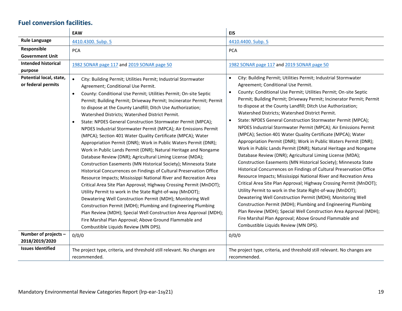### **Fuel conversion facilities.**

<span id="page-18-0"></span>

|                                                                                         | EAW                                                                                                                                                                                                                                                                                                                                                                                                                                                                                                                                                                                                                                                                                                                                                                                                                                                                                                                                                                                                                                                                                                                                                                                                                                                                                                                                                                                                                                                                          | <b>EIS</b>                                                                                                                                                                                                                                                                                                                                                                                                                                                                                                                                                                                                                                                                                                                                                                                                                                                                                                                                                                                                                                                                                                                                                                                                                                                                                                                                                                                                                                         |
|-----------------------------------------------------------------------------------------|------------------------------------------------------------------------------------------------------------------------------------------------------------------------------------------------------------------------------------------------------------------------------------------------------------------------------------------------------------------------------------------------------------------------------------------------------------------------------------------------------------------------------------------------------------------------------------------------------------------------------------------------------------------------------------------------------------------------------------------------------------------------------------------------------------------------------------------------------------------------------------------------------------------------------------------------------------------------------------------------------------------------------------------------------------------------------------------------------------------------------------------------------------------------------------------------------------------------------------------------------------------------------------------------------------------------------------------------------------------------------------------------------------------------------------------------------------------------------|----------------------------------------------------------------------------------------------------------------------------------------------------------------------------------------------------------------------------------------------------------------------------------------------------------------------------------------------------------------------------------------------------------------------------------------------------------------------------------------------------------------------------------------------------------------------------------------------------------------------------------------------------------------------------------------------------------------------------------------------------------------------------------------------------------------------------------------------------------------------------------------------------------------------------------------------------------------------------------------------------------------------------------------------------------------------------------------------------------------------------------------------------------------------------------------------------------------------------------------------------------------------------------------------------------------------------------------------------------------------------------------------------------------------------------------------------|
| <b>Rule Language</b>                                                                    | 4410.4300. Subp. 5                                                                                                                                                                                                                                                                                                                                                                                                                                                                                                                                                                                                                                                                                                                                                                                                                                                                                                                                                                                                                                                                                                                                                                                                                                                                                                                                                                                                                                                           | 4410.4400. Subp. 5                                                                                                                                                                                                                                                                                                                                                                                                                                                                                                                                                                                                                                                                                                                                                                                                                                                                                                                                                                                                                                                                                                                                                                                                                                                                                                                                                                                                                                 |
| Responsible<br><b>Government Unit</b><br><b>Intended historical</b>                     | <b>PCA</b>                                                                                                                                                                                                                                                                                                                                                                                                                                                                                                                                                                                                                                                                                                                                                                                                                                                                                                                                                                                                                                                                                                                                                                                                                                                                                                                                                                                                                                                                   | <b>PCA</b>                                                                                                                                                                                                                                                                                                                                                                                                                                                                                                                                                                                                                                                                                                                                                                                                                                                                                                                                                                                                                                                                                                                                                                                                                                                                                                                                                                                                                                         |
| purpose                                                                                 | 1982 SONAR page 117 and 2019 SONAR page 50                                                                                                                                                                                                                                                                                                                                                                                                                                                                                                                                                                                                                                                                                                                                                                                                                                                                                                                                                                                                                                                                                                                                                                                                                                                                                                                                                                                                                                   | 1982 SONAR page 117 and 2019 SONAR page 50                                                                                                                                                                                                                                                                                                                                                                                                                                                                                                                                                                                                                                                                                                                                                                                                                                                                                                                                                                                                                                                                                                                                                                                                                                                                                                                                                                                                         |
| Potential local, state,<br>or federal permits<br>Number of projects -<br>2018/2019/2020 | $\bullet$<br>City: Building Permit; Utilities Permit; Industrial Stormwater<br>Agreement; Conditional Use Permit.<br>County: Conditional Use Permit; Utilities Permit; On-site Septic<br>$\bullet$<br>Permit; Building Permit; Driveway Permit; Incinerator Permit; Permit<br>to dispose at the County Landfill; Ditch Use Authorization;<br>Watershed Districts; Watershed District Permit.<br>State: NPDES General Construction Stormwater Permit (MPCA);<br>$\bullet$<br>NPDES Industrial Stormwater Permit (MPCA); Air Emissions Permit<br>(MPCA); Section 401 Water Quality Certificate (MPCA); Water<br>Appropriation Permit (DNR); Work in Public Waters Permit (DNR);<br>Work in Public Lands Permit (DNR); Natural Heritage and Nongame<br>Database Review (DNR); Agricultural Liming License (MDA);<br>Construction Easements (MN Historical Society); Minnesota State<br>Historical Concurrences on Findings of Cultural Preservation Office<br>Resource Impacts; Mississippi National River and Recreation Area<br>Critical Area Site Plan Approval; Highway Crossing Permit (MnDOT);<br>Utility Permit to work in the State Right-of-way (MnDOT);<br>Dewatering Well Construction Permit (MDH); Monitoring Well<br>Construction Permit (MDH); Plumbing and Engineering Plumbing<br>Plan Review (MDH); Special Well Construction Area Approval (MDH);<br>Fire Marshal Plan Approval; Above Ground Flammable and<br>Combustible Liquids Review (MN DPS).<br>0/0/0 | City: Building Permit; Utilities Permit; Industrial Stormwater<br>$\bullet$<br>Agreement; Conditional Use Permit.<br>County: Conditional Use Permit; Utilities Permit; On-site Septic<br>Permit; Building Permit; Driveway Permit; Incinerator Permit; Permit<br>to dispose at the County Landfill; Ditch Use Authorization;<br>Watershed Districts; Watershed District Permit.<br>State: NPDES General Construction Stormwater Permit (MPCA);<br>NPDES Industrial Stormwater Permit (MPCA); Air Emissions Permit<br>(MPCA); Section 401 Water Quality Certificate (MPCA); Water<br>Appropriation Permit (DNR); Work in Public Waters Permit (DNR);<br>Work in Public Lands Permit (DNR); Natural Heritage and Nongame<br>Database Review (DNR); Agricultural Liming License (MDA);<br>Construction Easements (MN Historical Society); Minnesota State<br>Historical Concurrences on Findings of Cultural Preservation Office<br>Resource Impacts; Mississippi National River and Recreation Area<br>Critical Area Site Plan Approval; Highway Crossing Permit (MnDOT);<br>Utility Permit to work in the State Right-of-way (MnDOT);<br>Dewatering Well Construction Permit (MDH); Monitoring Well<br>Construction Permit (MDH); Plumbing and Engineering Plumbing<br>Plan Review (MDH); Special Well Construction Area Approval (MDH);<br>Fire Marshal Plan Approval; Above Ground Flammable and<br>Combustible Liquids Review (MN DPS).<br>0/0/0 |
| <b>Issues Identified</b>                                                                | The project type, criteria, and threshold still relevant. No changes are                                                                                                                                                                                                                                                                                                                                                                                                                                                                                                                                                                                                                                                                                                                                                                                                                                                                                                                                                                                                                                                                                                                                                                                                                                                                                                                                                                                                     | The project type, criteria, and threshold still relevant. No changes are                                                                                                                                                                                                                                                                                                                                                                                                                                                                                                                                                                                                                                                                                                                                                                                                                                                                                                                                                                                                                                                                                                                                                                                                                                                                                                                                                                           |
|                                                                                         | recommended.                                                                                                                                                                                                                                                                                                                                                                                                                                                                                                                                                                                                                                                                                                                                                                                                                                                                                                                                                                                                                                                                                                                                                                                                                                                                                                                                                                                                                                                                 | recommended.                                                                                                                                                                                                                                                                                                                                                                                                                                                                                                                                                                                                                                                                                                                                                                                                                                                                                                                                                                                                                                                                                                                                                                                                                                                                                                                                                                                                                                       |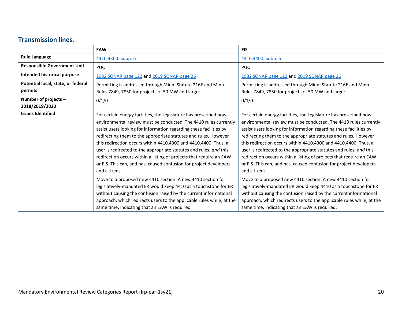#### **Transmission lines.**

<span id="page-19-0"></span>

|                                               | <b>EAW</b>                                                                                                                                                                                                                                                                                                                                                                                                                                                                                                                                                                            | <b>EIS</b>                                                                                                                                                                                                                                                                                                                                                                                                                                                                                                                                                                            |
|-----------------------------------------------|---------------------------------------------------------------------------------------------------------------------------------------------------------------------------------------------------------------------------------------------------------------------------------------------------------------------------------------------------------------------------------------------------------------------------------------------------------------------------------------------------------------------------------------------------------------------------------------|---------------------------------------------------------------------------------------------------------------------------------------------------------------------------------------------------------------------------------------------------------------------------------------------------------------------------------------------------------------------------------------------------------------------------------------------------------------------------------------------------------------------------------------------------------------------------------------|
| <b>Rule Language</b>                          | 4410.4300. Subp. 6                                                                                                                                                                                                                                                                                                                                                                                                                                                                                                                                                                    | 4410.4400. Subp. 6                                                                                                                                                                                                                                                                                                                                                                                                                                                                                                                                                                    |
| <b>Responsible Government Unit</b>            | <b>PUC</b>                                                                                                                                                                                                                                                                                                                                                                                                                                                                                                                                                                            | PUC.                                                                                                                                                                                                                                                                                                                                                                                                                                                                                                                                                                                  |
| Intended historical purpose                   | 1982 SONAR page 122 and 2019 SONAR page 26                                                                                                                                                                                                                                                                                                                                                                                                                                                                                                                                            | 1982 SONAR page 122 and 2019 SONAR page 26                                                                                                                                                                                                                                                                                                                                                                                                                                                                                                                                            |
| Potential local, state, or federal<br>permits | Permitting is addressed through Minn. Statute 216E and Minn.<br>Rules 7849, 7850 for projects of 50 MW and larger.                                                                                                                                                                                                                                                                                                                                                                                                                                                                    | Permitting is addressed through Minn. Statute 216E and Minn.<br>Rules 7849, 7850 for projects of 50 MW and larger.                                                                                                                                                                                                                                                                                                                                                                                                                                                                    |
| Number of projects -<br>2018/2019/2020        | 0/1/0                                                                                                                                                                                                                                                                                                                                                                                                                                                                                                                                                                                 | 0/1/0                                                                                                                                                                                                                                                                                                                                                                                                                                                                                                                                                                                 |
| <b>Issues Identified</b>                      | For certain energy facilities, the Legislature has prescribed how<br>environmental review must be conducted. The 4410 rules currently<br>assist users looking for information regarding these facilities by<br>redirecting them to the appropriate statutes and rules. However<br>this redirection occurs within 4410.4300 and 4410.4400. Thus, a<br>user is redirected to the appropriate statutes and rules, and this<br>redirection occurs within a listing of projects that require an EAW<br>or EIS. This can, and has, caused confusion for project developers<br>and citizens. | For certain energy facilities, the Legislature has prescribed how<br>environmental review must be conducted. The 4410 rules currently<br>assist users looking for information regarding these facilities by<br>redirecting them to the appropriate statutes and rules. However<br>this redirection occurs within 4410.4300 and 4410.4400. Thus, a<br>user is redirected to the appropriate statutes and rules, and this<br>redirection occurs within a listing of projects that require an EAW<br>or EIS. This can, and has, caused confusion for project developers<br>and citizens. |
|                                               | Move to a proposed new 4410 section. A new 4410 section for<br>legislatively-mandated ER would keep 4410 as a touchstone for ER<br>without causing the confusion raised by the current informational<br>approach, which redirects users to the applicable rules while, at the<br>same time, indicating that an EAW is required.                                                                                                                                                                                                                                                       | Move to a proposed new 4410 section. A new 4410 section for<br>legislatively-mandated ER would keep 4410 as a touchstone for ER<br>without causing the confusion raised by the current informational<br>approach, which redirects users to the applicable rules while, at the<br>same time, indicating that an EAW is required.                                                                                                                                                                                                                                                       |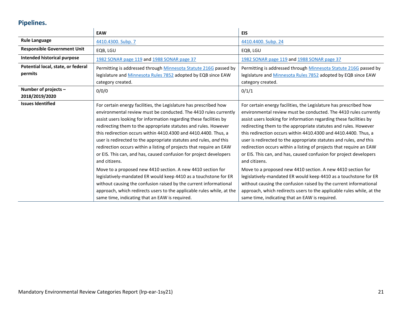# **Pipelines.**

<span id="page-20-0"></span>

|                                               | <b>EAW</b>                                                                                                                                                                                                                                                                                                                                                                                                                                                                                                                                                                                                                                                                                                                                                                                                                                                                                                               | <b>EIS</b>                                                                                                                                                                                                                                                                                                                                                                                                                                                                                                                                                                                                                                                                                                                                                                                                                                                                                                               |
|-----------------------------------------------|--------------------------------------------------------------------------------------------------------------------------------------------------------------------------------------------------------------------------------------------------------------------------------------------------------------------------------------------------------------------------------------------------------------------------------------------------------------------------------------------------------------------------------------------------------------------------------------------------------------------------------------------------------------------------------------------------------------------------------------------------------------------------------------------------------------------------------------------------------------------------------------------------------------------------|--------------------------------------------------------------------------------------------------------------------------------------------------------------------------------------------------------------------------------------------------------------------------------------------------------------------------------------------------------------------------------------------------------------------------------------------------------------------------------------------------------------------------------------------------------------------------------------------------------------------------------------------------------------------------------------------------------------------------------------------------------------------------------------------------------------------------------------------------------------------------------------------------------------------------|
| <b>Rule Language</b>                          | 4410.4300. Subp. 7                                                                                                                                                                                                                                                                                                                                                                                                                                                                                                                                                                                                                                                                                                                                                                                                                                                                                                       | 4410.4400. Subp. 24                                                                                                                                                                                                                                                                                                                                                                                                                                                                                                                                                                                                                                                                                                                                                                                                                                                                                                      |
| <b>Responsible Government Unit</b>            | EQB, LGU                                                                                                                                                                                                                                                                                                                                                                                                                                                                                                                                                                                                                                                                                                                                                                                                                                                                                                                 | EQB, LGU                                                                                                                                                                                                                                                                                                                                                                                                                                                                                                                                                                                                                                                                                                                                                                                                                                                                                                                 |
| Intended historical purpose                   | 1982 SONAR page 119 and 1988 SONAR page 37                                                                                                                                                                                                                                                                                                                                                                                                                                                                                                                                                                                                                                                                                                                                                                                                                                                                               | 1982 SONAR page 119 and 1988 SONAR page 37                                                                                                                                                                                                                                                                                                                                                                                                                                                                                                                                                                                                                                                                                                                                                                                                                                                                               |
| Potential local, state, or federal<br>permits | Permitting is addressed through Minnesota Statute 216G passed by<br>legislature and Minnesota Rules 7852 adopted by EQB since EAW<br>category created.                                                                                                                                                                                                                                                                                                                                                                                                                                                                                                                                                                                                                                                                                                                                                                   | Permitting is addressed through Minnesota Statute 216G passed by<br>legislature and <b>Minnesota Rules 7852</b> adopted by EQB since EAW<br>category created.                                                                                                                                                                                                                                                                                                                                                                                                                                                                                                                                                                                                                                                                                                                                                            |
| Number of projects $-$<br>2018/2019/2020      | 0/0/0                                                                                                                                                                                                                                                                                                                                                                                                                                                                                                                                                                                                                                                                                                                                                                                                                                                                                                                    | 0/1/1                                                                                                                                                                                                                                                                                                                                                                                                                                                                                                                                                                                                                                                                                                                                                                                                                                                                                                                    |
| <b>Issues Identified</b>                      | For certain energy facilities, the Legislature has prescribed how<br>environmental review must be conducted. The 4410 rules currently<br>assist users looking for information regarding these facilities by<br>redirecting them to the appropriate statutes and rules. However<br>this redirection occurs within 4410.4300 and 4410.4400. Thus, a<br>user is redirected to the appropriate statutes and rules, and this<br>redirection occurs within a listing of projects that require an EAW<br>or EIS. This can, and has, caused confusion for project developers<br>and citizens.<br>Move to a proposed new 4410 section. A new 4410 section for<br>legislatively-mandated ER would keep 4410 as a touchstone for ER<br>without causing the confusion raised by the current informational<br>approach, which redirects users to the applicable rules while, at the<br>same time, indicating that an EAW is required. | For certain energy facilities, the Legislature has prescribed how<br>environmental review must be conducted. The 4410 rules currently<br>assist users looking for information regarding these facilities by<br>redirecting them to the appropriate statutes and rules. However<br>this redirection occurs within 4410.4300 and 4410.4400. Thus, a<br>user is redirected to the appropriate statutes and rules, and this<br>redirection occurs within a listing of projects that require an EAW<br>or EIS. This can, and has, caused confusion for project developers<br>and citizens.<br>Move to a proposed new 4410 section. A new 4410 section for<br>legislatively-mandated ER would keep 4410 as a touchstone for ER<br>without causing the confusion raised by the current informational<br>approach, which redirects users to the applicable rules while, at the<br>same time, indicating that an EAW is required. |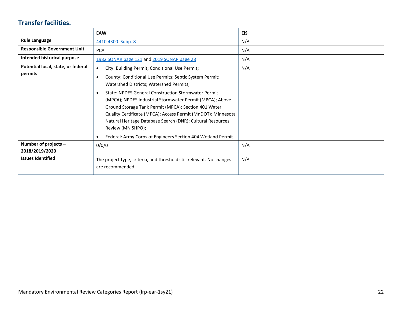### **Transfer facilities.**

<span id="page-21-0"></span>

|                                               | <b>EAW</b>                                                                                                                                                                                                                                                                                                                                                                                                                                                                       | <b>EIS</b> |
|-----------------------------------------------|----------------------------------------------------------------------------------------------------------------------------------------------------------------------------------------------------------------------------------------------------------------------------------------------------------------------------------------------------------------------------------------------------------------------------------------------------------------------------------|------------|
| <b>Rule Language</b>                          | 4410.4300. Subp. 8                                                                                                                                                                                                                                                                                                                                                                                                                                                               | N/A        |
| <b>Responsible Government Unit</b>            | <b>PCA</b>                                                                                                                                                                                                                                                                                                                                                                                                                                                                       | N/A        |
| Intended historical purpose                   | 1982 SONAR page 121 and 2019 SONAR page 28                                                                                                                                                                                                                                                                                                                                                                                                                                       | N/A        |
| Potential local, state, or federal<br>permits | City: Building Permit; Conditional Use Permit;<br>$\bullet$<br>County: Conditional Use Permits; Septic System Permit;<br>Watershed Districts; Watershed Permits;<br><b>State: NPDES General Construction Stormwater Permit</b><br>(MPCA); NPDES Industrial Stormwater Permit (MPCA); Above<br>Ground Storage Tank Permit (MPCA); Section 401 Water<br>Quality Certificate (MPCA); Access Permit (MnDOT); Minnesota<br>Natural Heritage Database Search (DNR); Cultural Resources | N/A        |
|                                               | Review (MN SHPO);<br>Federal: Army Corps of Engineers Section 404 Wetland Permit.                                                                                                                                                                                                                                                                                                                                                                                                |            |
| Number of projects -<br>2018/2019/2020        | 0/0/0                                                                                                                                                                                                                                                                                                                                                                                                                                                                            | N/A        |
| <b>Issues Identified</b>                      | The project type, criteria, and threshold still relevant. No changes<br>are recommended.                                                                                                                                                                                                                                                                                                                                                                                         | N/A        |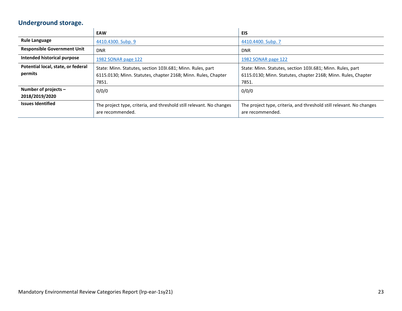# **Underground storage.**

<span id="page-22-0"></span>

|                                    | <b>EAW</b>                                                           | <b>EIS</b>                                                           |
|------------------------------------|----------------------------------------------------------------------|----------------------------------------------------------------------|
| <b>Rule Language</b>               | 4410.4300. Subp. 9                                                   | 4410.4400. Subp. 7                                                   |
| <b>Responsible Government Unit</b> | <b>DNR</b>                                                           | <b>DNR</b>                                                           |
| Intended historical purpose        | 1982 SONAR page 122                                                  | 1982 SONAR page 122                                                  |
| Potential local, state, or federal | State: Minn. Statutes, section 1031.681; Minn. Rules, part           | State: Minn. Statutes, section 1031.681; Minn. Rules, part           |
| permits                            | 6115.0130; Minn. Statutes, chapter 216B; Minn. Rules, Chapter        | 6115.0130; Minn. Statutes, chapter 216B; Minn. Rules, Chapter        |
|                                    | 7851.                                                                | 7851.                                                                |
| Number of projects -               | 0/0/0                                                                | 0/0/0                                                                |
| 2018/2019/2020                     |                                                                      |                                                                      |
| <b>Issues Identified</b>           | The project type, criteria, and threshold still relevant. No changes | The project type, criteria, and threshold still relevant. No changes |
|                                    | are recommended.                                                     | are recommended.                                                     |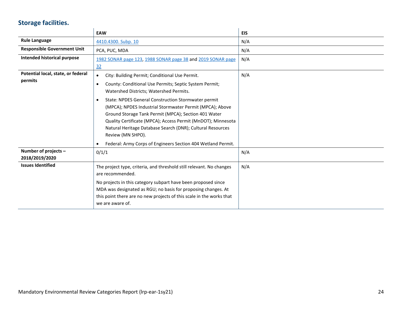# **Storage facilities.**

<span id="page-23-0"></span>

|                                        | <b>EAW</b>                                                                                                                                                                                                                                                                                                                              | <b>EIS</b> |
|----------------------------------------|-----------------------------------------------------------------------------------------------------------------------------------------------------------------------------------------------------------------------------------------------------------------------------------------------------------------------------------------|------------|
| <b>Rule Language</b>                   | 4410.4300. Subp. 10                                                                                                                                                                                                                                                                                                                     | N/A        |
| <b>Responsible Government Unit</b>     | PCA, PUC, MDA                                                                                                                                                                                                                                                                                                                           | N/A        |
| Intended historical purpose            | 1982 SONAR page 123, 1988 SONAR page 38 and 2019 SONAR page                                                                                                                                                                                                                                                                             | N/A        |
|                                        | 32                                                                                                                                                                                                                                                                                                                                      |            |
| Potential local, state, or federal     | City: Building Permit; Conditional Use Permit.<br>$\bullet$                                                                                                                                                                                                                                                                             | N/A        |
| permits                                | County: Conditional Use Permits; Septic System Permit;<br>$\bullet$<br>Watershed Districts; Watershed Permits.                                                                                                                                                                                                                          |            |
|                                        | State: NPDES General Construction Stormwater permit<br>$\bullet$<br>(MPCA); NPDES Industrial Stormwater Permit (MPCA); Above<br>Ground Storage Tank Permit (MPCA); Section 401 Water<br>Quality Certificate (MPCA); Access Permit (MnDOT); Minnesota<br>Natural Heritage Database Search (DNR); Cultural Resources<br>Review (MN SHPO). |            |
|                                        | Federal: Army Corps of Engineers Section 404 Wetland Permit.                                                                                                                                                                                                                                                                            |            |
| Number of projects -<br>2018/2019/2020 | 0/1/1                                                                                                                                                                                                                                                                                                                                   | N/A        |
| <b>Issues Identified</b>               | The project type, criteria, and threshold still relevant. No changes<br>are recommended.                                                                                                                                                                                                                                                | N/A        |
|                                        | No projects in this category subpart have been proposed since<br>MDA was designated as RGU; no basis for proposing changes. At<br>this point there are no new projects of this scale in the works that<br>we are aware of.                                                                                                              |            |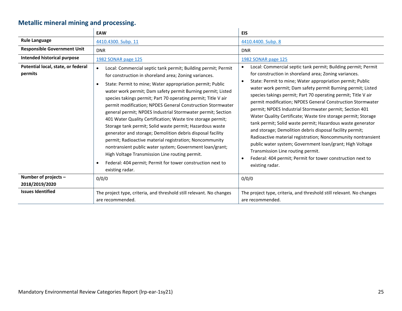# **Metallic mineral mining and processing.**

<span id="page-24-0"></span>

|                                                                       | <b>EAW</b>                                                                                                                                                                                                                                                                                                                                                                                                                                                                                                                                                                                                                                                                                                                                                                                                                                                                                                                     | <b>EIS</b>                                                                                                                                                                                                                                                                                                                                                                                                                                                                                                                                                                                                                                                                                                                                                                                                                                                                                                      |
|-----------------------------------------------------------------------|--------------------------------------------------------------------------------------------------------------------------------------------------------------------------------------------------------------------------------------------------------------------------------------------------------------------------------------------------------------------------------------------------------------------------------------------------------------------------------------------------------------------------------------------------------------------------------------------------------------------------------------------------------------------------------------------------------------------------------------------------------------------------------------------------------------------------------------------------------------------------------------------------------------------------------|-----------------------------------------------------------------------------------------------------------------------------------------------------------------------------------------------------------------------------------------------------------------------------------------------------------------------------------------------------------------------------------------------------------------------------------------------------------------------------------------------------------------------------------------------------------------------------------------------------------------------------------------------------------------------------------------------------------------------------------------------------------------------------------------------------------------------------------------------------------------------------------------------------------------|
| <b>Rule Language</b>                                                  | 4410.4300. Subp. 11                                                                                                                                                                                                                                                                                                                                                                                                                                                                                                                                                                                                                                                                                                                                                                                                                                                                                                            | 4410.4400. Subp. 8                                                                                                                                                                                                                                                                                                                                                                                                                                                                                                                                                                                                                                                                                                                                                                                                                                                                                              |
| <b>Responsible Government Unit</b>                                    | <b>DNR</b>                                                                                                                                                                                                                                                                                                                                                                                                                                                                                                                                                                                                                                                                                                                                                                                                                                                                                                                     | <b>DNR</b>                                                                                                                                                                                                                                                                                                                                                                                                                                                                                                                                                                                                                                                                                                                                                                                                                                                                                                      |
| Intended historical purpose                                           | 1982 SONAR page 125                                                                                                                                                                                                                                                                                                                                                                                                                                                                                                                                                                                                                                                                                                                                                                                                                                                                                                            | 1982 SONAR page 125                                                                                                                                                                                                                                                                                                                                                                                                                                                                                                                                                                                                                                                                                                                                                                                                                                                                                             |
| Potential local, state, or federal<br>permits<br>Number of projects - | Local: Commercial septic tank permit; Building permit; Permit<br>$\bullet$<br>for construction in shoreland area; Zoning variances.<br>State: Permit to mine; Water appropriation permit; Public<br>water work permit; Dam safety permit Burning permit; Listed<br>species takings permit; Part 70 operating permit; Title V air<br>permit modification; NPDES General Construction Stormwater<br>general permit; NPDES Industrial Stormwater permit; Section<br>401 Water Quality Certification; Waste tire storage permit;<br>Storage tank permit; Solid waste permit; Hazardous waste<br>generator and storage; Demolition debris disposal facility<br>permit; Radioactive material registration; Noncommunity<br>nontransient public water system; Government loan/grant;<br>High Voltage Transmission Line routing permit.<br>Federal: 404 permit; Permit for tower construction next to<br>٠<br>existing radar.<br>0/0/0 | Local: Commercial septic tank permit; Building permit; Permit<br>for construction in shoreland area; Zoning variances.<br>State: Permit to mine; Water appropriation permit; Public<br>$\bullet$<br>water work permit; Dam safety permit Burning permit; Listed<br>species takings permit; Part 70 operating permit; Title V air<br>permit modification; NPDES General Construction Stormwater<br>permit; NPDES Industrial Stormwater permit; Section 401<br>Water Quality Certificate; Waste tire storage permit; Storage<br>tank permit; Solid waste permit; Hazardous waste generator<br>and storage; Demolition debris disposal facility permit;<br>Radioactive material registration; Noncommunity nontransient<br>public water system; Government loan/grant; High Voltage<br>Transmission Line routing permit.<br>Federal: 404 permit; Permit for tower construction next to<br>existing radar.<br>0/0/0 |
| 2018/2019/2020                                                        |                                                                                                                                                                                                                                                                                                                                                                                                                                                                                                                                                                                                                                                                                                                                                                                                                                                                                                                                |                                                                                                                                                                                                                                                                                                                                                                                                                                                                                                                                                                                                                                                                                                                                                                                                                                                                                                                 |
| <b>Issues Identified</b>                                              | The project type, criteria, and threshold still relevant. No changes<br>are recommended.                                                                                                                                                                                                                                                                                                                                                                                                                                                                                                                                                                                                                                                                                                                                                                                                                                       | The project type, criteria, and threshold still relevant. No changes<br>are recommended.                                                                                                                                                                                                                                                                                                                                                                                                                                                                                                                                                                                                                                                                                                                                                                                                                        |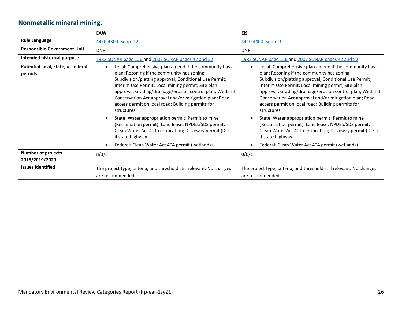# **Nonmetallic mineral mining.**

<span id="page-25-0"></span>

|                                               | <b>EAW</b>                                                                                                                                                                                                                                                                                                                                                                                                      | EIS.                                                                                                                                                                                                                                                                                                                                                                                                            |
|-----------------------------------------------|-----------------------------------------------------------------------------------------------------------------------------------------------------------------------------------------------------------------------------------------------------------------------------------------------------------------------------------------------------------------------------------------------------------------|-----------------------------------------------------------------------------------------------------------------------------------------------------------------------------------------------------------------------------------------------------------------------------------------------------------------------------------------------------------------------------------------------------------------|
| <b>Rule Language</b>                          | 4410.4300. Subp. 12                                                                                                                                                                                                                                                                                                                                                                                             | 4410.4400. Subp. 9                                                                                                                                                                                                                                                                                                                                                                                              |
| <b>Responsible Government Unit</b>            | <b>DNR</b>                                                                                                                                                                                                                                                                                                                                                                                                      | <b>DNR</b>                                                                                                                                                                                                                                                                                                                                                                                                      |
| Intended historical purpose                   | 1982 SONAR page 126 and 2007 SONAR pages 42 and 52                                                                                                                                                                                                                                                                                                                                                              | 1982 SONAR page 126 and 2007 SONAR pages 42 and 52                                                                                                                                                                                                                                                                                                                                                              |
| Potential local, state, or federal<br>permits | Local: Comprehensive plan amend if the community has a<br>plan; Rezoning if the community has zoning;<br>Subdivision/platting approval; Conditional Use Permit;<br>Interim Use Permit; Local mining permit; Site plan<br>approval; Grading/drainage/erosion control plan; Wetland<br>Conservation Act approval and/or mitigation plan; Road<br>access permit on local road; Building permits for<br>structures. | Local: Comprehensive plan amend if the community has a<br>plan; Rezoning if the community has zoning;<br>Subdivision/platting approval; Conditional Use Permit;<br>Interim Use Permit; Local mining permit; Site plan<br>approval; Grading/drainage/erosion control plan; Wetland<br>Conservation Act approval and/or mitigation plan; Road<br>access permit on local road; Building permits for<br>structures. |
|                                               | State: Water appropriation permit; Permit to mine<br>(Reclamation permit); Land lease; NPDES/SDS permit;<br>Clean Water Act 401 certification; Driveway permit (DOT)<br>if state highway.                                                                                                                                                                                                                       | State: Water appropriation permit; Permit to mine<br>(Reclamation permit); Land lease; NPDES/SDS permit;<br>Clean Water Act 401 certification; Driveway permit (DOT)<br>if state highway.                                                                                                                                                                                                                       |
|                                               | Federal: Clean Water Act 404 permit (wetlands).                                                                                                                                                                                                                                                                                                                                                                 | Federal: Clean Water Act 404 permit (wetlands).                                                                                                                                                                                                                                                                                                                                                                 |
| Number of projects -                          | 8/3/3                                                                                                                                                                                                                                                                                                                                                                                                           | 0/0/1                                                                                                                                                                                                                                                                                                                                                                                                           |
| 2018/2019/2020                                |                                                                                                                                                                                                                                                                                                                                                                                                                 |                                                                                                                                                                                                                                                                                                                                                                                                                 |
| <b>Issues Identified</b>                      | The project type, criteria, and threshold still relevant. No changes<br>are recommended.                                                                                                                                                                                                                                                                                                                        | The project type, criteria, and threshold still relevant. No changes<br>are recommended.                                                                                                                                                                                                                                                                                                                        |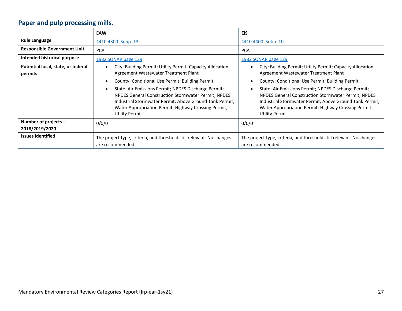# **Paper and pulp processing mills.**

<span id="page-26-0"></span>

|                                               | <b>EAW</b>                                                                                                                                                                                                                                                     | EIS                                                                                                                                                                                                                                                            |  |
|-----------------------------------------------|----------------------------------------------------------------------------------------------------------------------------------------------------------------------------------------------------------------------------------------------------------------|----------------------------------------------------------------------------------------------------------------------------------------------------------------------------------------------------------------------------------------------------------------|--|
| <b>Rule Language</b>                          | 4410.4300. Subp. 13                                                                                                                                                                                                                                            | 4410.4400. Subp. 10                                                                                                                                                                                                                                            |  |
| <b>Responsible Government Unit</b>            | <b>PCA</b>                                                                                                                                                                                                                                                     | <b>PCA</b>                                                                                                                                                                                                                                                     |  |
| Intended historical purpose                   | 1982 SONAR page 129                                                                                                                                                                                                                                            | 1982 SONAR page 129                                                                                                                                                                                                                                            |  |
| Potential local, state, or federal<br>permits | City: Building Permit; Utility Permit; Capacity Allocation<br>Agreement Wastewater Treatment Plant                                                                                                                                                             | City: Building Permit; Utility Permit; Capacity Allocation<br>Agreement Wastewater Treatment Plant                                                                                                                                                             |  |
|                                               | County: Conditional Use Permit; Building Permit                                                                                                                                                                                                                | County: Conditional Use Permit; Building Permit                                                                                                                                                                                                                |  |
|                                               | State: Air Emissions Permit; NPDES Discharge Permit;<br><b>NPDES General Construction Stormwater Permit; NPDES</b><br>Industrial Stormwater Permit; Above Ground Tank Permit;<br>Water Appropriation Permit; Highway Crossing Permit;<br><b>Utility Permit</b> | State: Air Emissions Permit; NPDES Discharge Permit;<br><b>NPDES General Construction Stormwater Permit; NPDES</b><br>Industrial Stormwater Permit; Above Ground Tank Permit;<br>Water Appropriation Permit; Highway Crossing Permit;<br><b>Utility Permit</b> |  |
| Number of projects $-$<br>2018/2019/2020      | 0/0/0                                                                                                                                                                                                                                                          | 0/0/0                                                                                                                                                                                                                                                          |  |
| <b>Issues Identified</b>                      | The project type, criteria, and threshold still relevant. No changes<br>are recommended.                                                                                                                                                                       | The project type, criteria, and threshold still relevant. No changes<br>are recommended.                                                                                                                                                                       |  |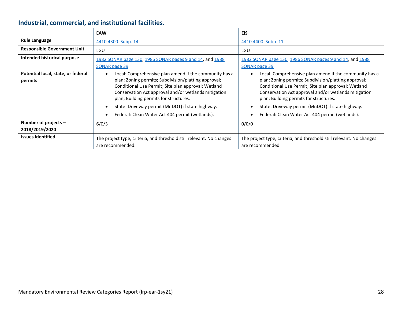# **Industrial, commercial, and institutional facilities.**

<span id="page-27-0"></span>

|                                               | <b>EAW</b>                                                                                                                                                                                                                                                                                                                                                                     | <b>EIS</b>                                                                                                                                                                                                                                                                                                                                                                     |
|-----------------------------------------------|--------------------------------------------------------------------------------------------------------------------------------------------------------------------------------------------------------------------------------------------------------------------------------------------------------------------------------------------------------------------------------|--------------------------------------------------------------------------------------------------------------------------------------------------------------------------------------------------------------------------------------------------------------------------------------------------------------------------------------------------------------------------------|
| <b>Rule Language</b>                          | 4410.4300. Subp. 14                                                                                                                                                                                                                                                                                                                                                            | 4410.4400. Subp. 11                                                                                                                                                                                                                                                                                                                                                            |
| <b>Responsible Government Unit</b>            | LGU                                                                                                                                                                                                                                                                                                                                                                            | LGU                                                                                                                                                                                                                                                                                                                                                                            |
| Intended historical purpose                   | 1982 SONAR page 130, 1986 SONAR pages 9 and 14, and 1988<br>SONAR page 39                                                                                                                                                                                                                                                                                                      | 1982 SONAR page 130, 1986 SONAR pages 9 and 14, and 1988<br>SONAR page 39                                                                                                                                                                                                                                                                                                      |
| Potential local, state, or federal<br>permits | Local: Comprehensive plan amend if the community has a<br>plan; Zoning permits; Subdivision/platting approval;<br>Conditional Use Permit; Site plan approval; Wetland<br>Conservation Act approval and/or wetlands mitigation<br>plan; Building permits for structures.<br>State: Driveway permit (MnDOT) if state highway.<br>Federal: Clean Water Act 404 permit (wetlands). | Local: Comprehensive plan amend if the community has a<br>plan; Zoning permits; Subdivision/platting approval;<br>Conditional Use Permit; Site plan approval; Wetland<br>Conservation Act approval and/or wetlands mitigation<br>plan; Building permits for structures.<br>State: Driveway permit (MnDOT) if state highway.<br>Federal: Clean Water Act 404 permit (wetlands). |
| Number of projects -<br>2018/2019/2020        | 6/0/3                                                                                                                                                                                                                                                                                                                                                                          | 0/0/0                                                                                                                                                                                                                                                                                                                                                                          |
| <b>Issues Identified</b>                      | The project type, criteria, and threshold still relevant. No changes<br>are recommended.                                                                                                                                                                                                                                                                                       | The project type, criteria, and threshold still relevant. No changes<br>are recommended.                                                                                                                                                                                                                                                                                       |

 $\mathbf{r}$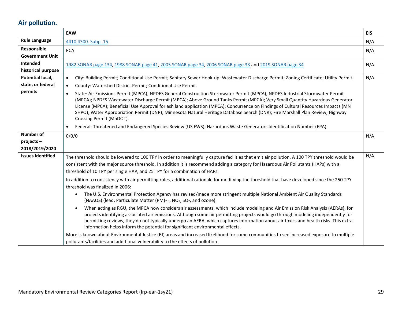# **Air pollution.**

<span id="page-28-0"></span>

|                                                  | EAW                                                                                                                                                                                                                                                                                                                                                                                                                                                                                                                                                                                                                                                                                                                                                                                                                                                                                                                                                                                                                                                                                                                                                                                                                                                                                                                                                                                                                                                              | <b>EIS</b> |
|--------------------------------------------------|------------------------------------------------------------------------------------------------------------------------------------------------------------------------------------------------------------------------------------------------------------------------------------------------------------------------------------------------------------------------------------------------------------------------------------------------------------------------------------------------------------------------------------------------------------------------------------------------------------------------------------------------------------------------------------------------------------------------------------------------------------------------------------------------------------------------------------------------------------------------------------------------------------------------------------------------------------------------------------------------------------------------------------------------------------------------------------------------------------------------------------------------------------------------------------------------------------------------------------------------------------------------------------------------------------------------------------------------------------------------------------------------------------------------------------------------------------------|------------|
| <b>Rule Language</b>                             | 4410.4300. Subp. 15                                                                                                                                                                                                                                                                                                                                                                                                                                                                                                                                                                                                                                                                                                                                                                                                                                                                                                                                                                                                                                                                                                                                                                                                                                                                                                                                                                                                                                              | N/A        |
| Responsible<br><b>Government Unit</b>            | <b>PCA</b>                                                                                                                                                                                                                                                                                                                                                                                                                                                                                                                                                                                                                                                                                                                                                                                                                                                                                                                                                                                                                                                                                                                                                                                                                                                                                                                                                                                                                                                       | N/A        |
| Intended<br>historical purpose                   | 1982 SONAR page 134, 1988 SONAR page 41, 2005 SONAR page 34, 2006 SONAR page 33 and 2019 SONAR page 34                                                                                                                                                                                                                                                                                                                                                                                                                                                                                                                                                                                                                                                                                                                                                                                                                                                                                                                                                                                                                                                                                                                                                                                                                                                                                                                                                           | N/A        |
| Potential local,<br>state, or federal<br>permits | City: Building Permit; Conditional Use Permit; Sanitary Sewer Hook-up; Wastewater Discharge Permit; Zoning Certificate; Utility Permit.<br>$\bullet$<br>County: Watershed District Permit; Conditional Use Permit.<br>$\bullet$<br>State: Air Emissions Permit (MPCA); NPDES General Construction Stormwater Permit (MPCA); NPDES Industrial Stormwater Permit<br>$\bullet$<br>(MPCA); NPDES Wastewater Discharge Permit (MPCA); Above Ground Tanks Permit (MPCA); Very Small Quantity Hazardous Generator<br>License (MPCA); Beneficial Use Approval for ash land application (MPCA); Concurrence on Findings of Cultural Resources Impacts (MN<br>SHPO); Water Appropriation Permit (DNR); Minnesota Natural Heritage Database Search (DNR); Fire Marshall Plan Review; Highway<br>Crossing Permit (MnDOT).<br>Federal: Threatened and Endangered Species Review (US FWS); Hazardous Waste Generators Identification Number (EPA).<br>$\bullet$                                                                                                                                                                                                                                                                                                                                                                                                                                                                                                                | N/A        |
| <b>Number of</b><br>projects-<br>2018/2019/2020  | 0/0/0                                                                                                                                                                                                                                                                                                                                                                                                                                                                                                                                                                                                                                                                                                                                                                                                                                                                                                                                                                                                                                                                                                                                                                                                                                                                                                                                                                                                                                                            | N/A        |
| <b>Issues Identified</b>                         | The threshold should be lowered to 100 TPY in order to meaningfully capture facilities that emit air pollution. A 100 TPY threshold would be<br>consistent with the major source threshold. In addition it is recommend adding a category for Hazardous Air Pollutants (HAPs) with a<br>threshold of 10 TPY per single HAP, and 25 TPY for a combination of HAPs.<br>In addition to consistency with air permitting rules, additional rationale for modifying the threshold that have developed since the 250 TPY<br>threshold was finalized in 2006:<br>The U.S. Environmental Protection Agency has revised/made more stringent multiple National Ambient Air Quality Standards<br>$\bullet$<br>(NAAQS) (lead, Particulate Matter (PM) <sub>2.5</sub> , NO <sub>2</sub> , SO <sub>2</sub> , and ozone).<br>When acting as RGU, the MPCA now considers air assessments, which include modeling and Air Emission Risk Analysis (AERAs), for<br>$\bullet$<br>projects identifying associated air emissions. Although some air permitting projects would go through modeling independently for<br>permitting reviews, they do not typically undergo an AERA, which captures information about air toxics and health risks. This extra<br>information helps inform the potential for significant environmental effects.<br>More is known about Environmental Justice (EJ) areas and increased likelihood for some communities to see increased exposure to multiple | N/A        |
|                                                  | pollutants/facilities and additional vulnerability to the effects of pollution.                                                                                                                                                                                                                                                                                                                                                                                                                                                                                                                                                                                                                                                                                                                                                                                                                                                                                                                                                                                                                                                                                                                                                                                                                                                                                                                                                                                  |            |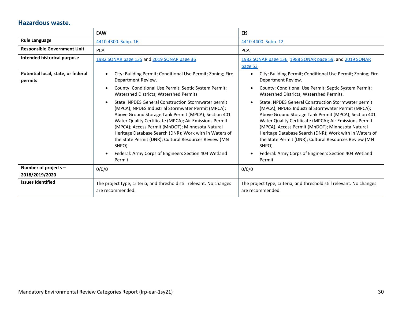#### **Hazardous waste.**

<span id="page-29-0"></span>

|                                               | EAW                                                                                                                                                                                                                                                                                                                                                                                                                                                                                                                                                                                                                                                                       | <b>EIS</b>                                                                                                                                                                                                                                                                                                                                                                                                                                                                                                                                                                                                                                                               |
|-----------------------------------------------|---------------------------------------------------------------------------------------------------------------------------------------------------------------------------------------------------------------------------------------------------------------------------------------------------------------------------------------------------------------------------------------------------------------------------------------------------------------------------------------------------------------------------------------------------------------------------------------------------------------------------------------------------------------------------|--------------------------------------------------------------------------------------------------------------------------------------------------------------------------------------------------------------------------------------------------------------------------------------------------------------------------------------------------------------------------------------------------------------------------------------------------------------------------------------------------------------------------------------------------------------------------------------------------------------------------------------------------------------------------|
| <b>Rule Language</b>                          | 4410.4300. Subp. 16                                                                                                                                                                                                                                                                                                                                                                                                                                                                                                                                                                                                                                                       | 4410.4400. Subp. 12                                                                                                                                                                                                                                                                                                                                                                                                                                                                                                                                                                                                                                                      |
| <b>Responsible Government Unit</b>            | <b>PCA</b>                                                                                                                                                                                                                                                                                                                                                                                                                                                                                                                                                                                                                                                                | <b>PCA</b>                                                                                                                                                                                                                                                                                                                                                                                                                                                                                                                                                                                                                                                               |
| Intended historical purpose                   | 1982 SONAR page 135 and 2019 SONAR page 36                                                                                                                                                                                                                                                                                                                                                                                                                                                                                                                                                                                                                                | 1982 SONAR page 136, 1988 SONAR page 59, and 2019 SONAR<br>page 53                                                                                                                                                                                                                                                                                                                                                                                                                                                                                                                                                                                                       |
| Potential local, state, or federal<br>permits | City: Building Permit; Conditional Use Permit; Zoning; Fire<br>Department Review.<br>County: Conditional Use Permit; Septic System Permit;<br>Watershed Districts; Watershed Permits.<br>State: NPDES General Construction Stormwater permit<br>(MPCA); NPDES Industrial Stormwater Permit (MPCA);<br>Above Ground Storage Tank Permit (MPCA); Section 401<br>Water Quality Certificate (MPCA); Air Emissions Permit<br>(MPCA); Access Permit (MnDOT); Minnesota Natural<br>Heritage Database Search (DNR); Work with in Waters of<br>the State Permit (DNR); Cultural Resources Review (MN)<br>SHPO).<br>Federal: Army Corps of Engineers Section 404 Wetland<br>Permit. | City: Building Permit; Conditional Use Permit; Zoning; Fire<br>Department Review.<br>County: Conditional Use Permit; Septic System Permit;<br>Watershed Districts; Watershed Permits.<br>State: NPDES General Construction Stormwater permit<br>(MPCA); NPDES Industrial Stormwater Permit (MPCA);<br>Above Ground Storage Tank Permit (MPCA); Section 401<br>Water Quality Certificate (MPCA); Air Emissions Permit<br>(MPCA); Access Permit (MnDOT); Minnesota Natural<br>Heritage Database Search (DNR); Work with in Waters of<br>the State Permit (DNR); Cultural Resources Review (MN<br>SHPO).<br>Federal: Army Corps of Engineers Section 404 Wetland<br>Permit. |
| Number of projects -<br>2018/2019/2020        | 0/0/0                                                                                                                                                                                                                                                                                                                                                                                                                                                                                                                                                                                                                                                                     | 0/0/0                                                                                                                                                                                                                                                                                                                                                                                                                                                                                                                                                                                                                                                                    |
| <b>Issues Identified</b>                      | The project type, criteria, and threshold still relevant. No changes<br>are recommended.                                                                                                                                                                                                                                                                                                                                                                                                                                                                                                                                                                                  | The project type, criteria, and threshold still relevant. No changes<br>are recommended.                                                                                                                                                                                                                                                                                                                                                                                                                                                                                                                                                                                 |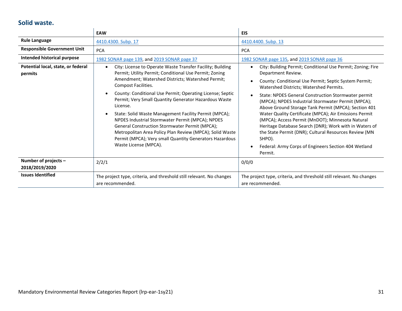#### **Solid waste.**

<span id="page-30-0"></span>

|                                               | EAW                                                                                                                                                                                                                                                                                                                                                                                                                                                                                                                                                                                                                                                            | <b>EIS</b>                                                                                                                                                                                                                                                                                                                                                                                                                                                                                                                                                                                                                                                                                                      |
|-----------------------------------------------|----------------------------------------------------------------------------------------------------------------------------------------------------------------------------------------------------------------------------------------------------------------------------------------------------------------------------------------------------------------------------------------------------------------------------------------------------------------------------------------------------------------------------------------------------------------------------------------------------------------------------------------------------------------|-----------------------------------------------------------------------------------------------------------------------------------------------------------------------------------------------------------------------------------------------------------------------------------------------------------------------------------------------------------------------------------------------------------------------------------------------------------------------------------------------------------------------------------------------------------------------------------------------------------------------------------------------------------------------------------------------------------------|
| <b>Rule Language</b>                          | 4410.4300. Subp. 17                                                                                                                                                                                                                                                                                                                                                                                                                                                                                                                                                                                                                                            | 4410.4400. Subp. 13                                                                                                                                                                                                                                                                                                                                                                                                                                                                                                                                                                                                                                                                                             |
| <b>Responsible Government Unit</b>            | <b>PCA</b>                                                                                                                                                                                                                                                                                                                                                                                                                                                                                                                                                                                                                                                     | <b>PCA</b>                                                                                                                                                                                                                                                                                                                                                                                                                                                                                                                                                                                                                                                                                                      |
| Intended historical purpose                   | 1982 SONAR page 139, and 2019 SONAR page 37                                                                                                                                                                                                                                                                                                                                                                                                                                                                                                                                                                                                                    | 1982 SONAR page 135, and 2019 SONAR page 36                                                                                                                                                                                                                                                                                                                                                                                                                                                                                                                                                                                                                                                                     |
| Potential local, state, or federal<br>permits | City: License to Operate Waste Transfer Facility; Building<br>$\bullet$<br>Permit; Utility Permit; Conditional Use Permit; Zoning<br>Amendment; Watershed Districts; Watershed Permit;<br>Compost Facilities.<br>County: Conditional Use Permit; Operating License; Septic<br>Permit; Very Small Quantity Generator Hazardous Waste<br>License.<br>State: Solid Waste Management Facility Permit (MPCA);<br>NPDES Industrial Stormwater Permit (MPCA); NPDES<br>General Construction Stormwater Permit (MPCA);<br>Metropolitan Area Policy Plan Review (MPCA); Solid Waste<br>Permit (MPCA); Very small Quantity Generators Hazardous<br>Waste License (MPCA). | City: Building Permit; Conditional Use Permit; Zoning; Fire<br>$\bullet$<br>Department Review.<br>County: Conditional Use Permit; Septic System Permit;<br>$\bullet$<br>Watershed Districts; Watershed Permits.<br>State: NPDES General Construction Stormwater permit<br>(MPCA); NPDES Industrial Stormwater Permit (MPCA);<br>Above Ground Storage Tank Permit (MPCA); Section 401<br>Water Quality Certificate (MPCA); Air Emissions Permit<br>(MPCA); Access Permit (MnDOT); Minnesota Natural<br>Heritage Database Search (DNR); Work with in Waters of<br>the State Permit (DNR); Cultural Resources Review (MN<br>SHPO).<br>Federal: Army Corps of Engineers Section 404 Wetland<br>$\bullet$<br>Permit. |
| Number of projects -<br>2018/2019/2020        | 2/2/1                                                                                                                                                                                                                                                                                                                                                                                                                                                                                                                                                                                                                                                          | 0/0/0                                                                                                                                                                                                                                                                                                                                                                                                                                                                                                                                                                                                                                                                                                           |
| <b>Issues Identified</b>                      | The project type, criteria, and threshold still relevant. No changes<br>are recommended.                                                                                                                                                                                                                                                                                                                                                                                                                                                                                                                                                                       | The project type, criteria, and threshold still relevant. No changes<br>are recommended.                                                                                                                                                                                                                                                                                                                                                                                                                                                                                                                                                                                                                        |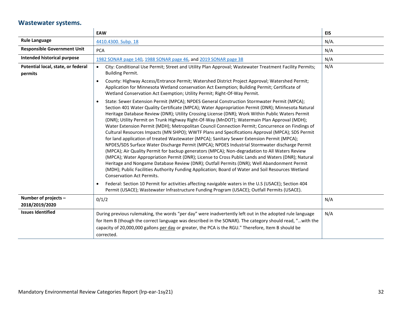### **Wastewater systems.**

<span id="page-31-0"></span>

|                                               | EAW                                                                                                                                                                                                                                                                                                                                                                                                                                                                                                                                                                                                                                                                                                                                                                                                                                                                                                                                                                                                                                                                                                                                                                                                                                                                | <b>EIS</b> |
|-----------------------------------------------|--------------------------------------------------------------------------------------------------------------------------------------------------------------------------------------------------------------------------------------------------------------------------------------------------------------------------------------------------------------------------------------------------------------------------------------------------------------------------------------------------------------------------------------------------------------------------------------------------------------------------------------------------------------------------------------------------------------------------------------------------------------------------------------------------------------------------------------------------------------------------------------------------------------------------------------------------------------------------------------------------------------------------------------------------------------------------------------------------------------------------------------------------------------------------------------------------------------------------------------------------------------------|------------|
| <b>Rule Language</b>                          | 4410.4300. Subp. 18                                                                                                                                                                                                                                                                                                                                                                                                                                                                                                                                                                                                                                                                                                                                                                                                                                                                                                                                                                                                                                                                                                                                                                                                                                                | $N/A$ .    |
| <b>Responsible Government Unit</b>            | <b>PCA</b>                                                                                                                                                                                                                                                                                                                                                                                                                                                                                                                                                                                                                                                                                                                                                                                                                                                                                                                                                                                                                                                                                                                                                                                                                                                         | N/A        |
| Intended historical purpose                   | 1982 SONAR page 140, 1988 SONAR page 46, and 2019 SONAR page 38                                                                                                                                                                                                                                                                                                                                                                                                                                                                                                                                                                                                                                                                                                                                                                                                                                                                                                                                                                                                                                                                                                                                                                                                    | N/A        |
| Potential local, state, or federal<br>permits | City: Conditional Use Permit; Street and Utility Plan Approval; Wastewater Treatment Facility Permits;<br>$\bullet$<br><b>Building Permit.</b>                                                                                                                                                                                                                                                                                                                                                                                                                                                                                                                                                                                                                                                                                                                                                                                                                                                                                                                                                                                                                                                                                                                     | N/A        |
|                                               | County: Highway Access/Entrance Permit; Watershed District Project Approval; Watershed Permit;<br>$\bullet$<br>Application for Minnesota Wetland conservation Act Exemption; Building Permit; Certificate of<br>Wetland Conservation Act Exemption; Utility Permit; Right-Of-Way Permit.                                                                                                                                                                                                                                                                                                                                                                                                                                                                                                                                                                                                                                                                                                                                                                                                                                                                                                                                                                           |            |
|                                               | State: Sewer Extension Permit (MPCA); NPDES General Construction Stormwater Permit (MPCA);<br>$\bullet$<br>Section 401 Water Quality Certificate (MPCA); Water Appropriation Permit (DNR); Minnesota Natural<br>Heritage Database Review (DNR); Utility Crossing License (DNR); Work Within Public Waters Permit<br>(DNR); Utility Permit on Trunk Highway Right-Of-Way (MnDOT); Watermain Plan Approval (MDH);<br>Water Extension Permit (MDH); Metropolitan Council Connection Permit; Concurrence on Findings of<br>Cultural Resources Impacts (MN SHPO); WWTF Plans and Specifications Approval (MPCA); SDS Permit<br>for land application of treated Wastewater (MPCA); Sanitary Sewer Extension Permit (MPCA);<br>NPDES/SDS Surface Water Discharge Permit (MPCA); NPDES Industrial Stormwater discharge Permit<br>(MPCA); Air Quality Permit for backup generators (MPCA); Non-degradation to All Waters Review<br>(MPCA); Water Appropriation Permit (DNR); License to Cross Public Lands and Waters (DNR); Natural<br>Heritage and Nongame Database Review (DNR); Outfall Permits (DNR); Well Abandonment Permit<br>(MDH); Public Facilities Authority Funding Application; Board of Water and Soil Resources Wetland<br><b>Conservation Act Permits.</b> |            |
|                                               | Federal: Section 10 Permit for activities affecting navigable waters in the U.S (USACE); Section 404<br>Permit (USACE); Wastewater Infrastructure Funding Program (USACE); Outfall Permits (USACE).                                                                                                                                                                                                                                                                                                                                                                                                                                                                                                                                                                                                                                                                                                                                                                                                                                                                                                                                                                                                                                                                |            |
| Number of projects -<br>2018/2019/2020        | 0/1/2                                                                                                                                                                                                                                                                                                                                                                                                                                                                                                                                                                                                                                                                                                                                                                                                                                                                                                                                                                                                                                                                                                                                                                                                                                                              | N/A        |
| <b>Issues Identified</b>                      | During previous rulemaking, the words "per day" were inadvertently left out in the adopted rule language<br>for Item B (though the correct language was described in the SONAR). The category should read, "with the<br>capacity of 20,000,000 gallons per day or greater, the PCA is the RGU." Therefore, Item B should be<br>corrected.                                                                                                                                                                                                                                                                                                                                                                                                                                                                                                                                                                                                                                                                                                                                                                                                                                                                                                                          | N/A        |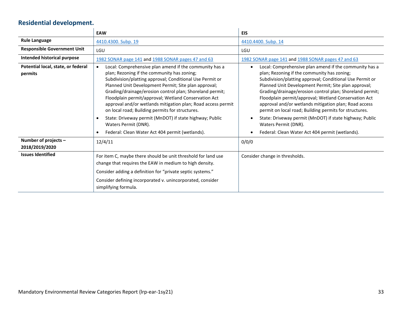# **Residential development.**

<span id="page-32-0"></span>

|                                               | EAW                                                                                                                                                                                                                                                                                                                                                                                                                                                                                                                                                                                                                              | <b>EIS</b>                                                                                                                                                                                                                                                                                                                                                                                                                                                                                                                                                                                             |
|-----------------------------------------------|----------------------------------------------------------------------------------------------------------------------------------------------------------------------------------------------------------------------------------------------------------------------------------------------------------------------------------------------------------------------------------------------------------------------------------------------------------------------------------------------------------------------------------------------------------------------------------------------------------------------------------|--------------------------------------------------------------------------------------------------------------------------------------------------------------------------------------------------------------------------------------------------------------------------------------------------------------------------------------------------------------------------------------------------------------------------------------------------------------------------------------------------------------------------------------------------------------------------------------------------------|
| <b>Rule Language</b>                          | 4410.4300. Subp. 19                                                                                                                                                                                                                                                                                                                                                                                                                                                                                                                                                                                                              | 4410.4400. Subp. 14                                                                                                                                                                                                                                                                                                                                                                                                                                                                                                                                                                                    |
| <b>Responsible Government Unit</b>            | LGU                                                                                                                                                                                                                                                                                                                                                                                                                                                                                                                                                                                                                              | LGU                                                                                                                                                                                                                                                                                                                                                                                                                                                                                                                                                                                                    |
| Intended historical purpose                   | 1982 SONAR page 141 and 1988 SONAR pages 47 and 63                                                                                                                                                                                                                                                                                                                                                                                                                                                                                                                                                                               | 1982 SONAR page 141 and 1988 SONAR pages 47 and 63                                                                                                                                                                                                                                                                                                                                                                                                                                                                                                                                                     |
| Potential local, state, or federal<br>permits | Local: Comprehensive plan amend if the community has a<br>$\bullet$<br>plan; Rezoning if the community has zoning;<br>Subdivision/platting approval; Conditional Use Permit or<br>Planned Unit Development Permit; Site plan approval;<br>Grading/drainage/erosion control plan; Shoreland permit;<br>Floodplain permit/approval; Wetland Conservation Act<br>approval and/or wetlands mitigation plan; Road access permit<br>on local road; Building permits for structures.<br>State: Driveway permit (MnDOT) if state highway; Public<br>$\bullet$<br>Waters Permit (DNR).<br>Federal: Clean Water Act 404 permit (wetlands). | Local: Comprehensive plan amend if the community has a<br>plan; Rezoning if the community has zoning;<br>Subdivision/platting approval; Conditional Use Permit or<br>Planned Unit Development Permit; Site plan approval;<br>Grading/drainage/erosion control plan; Shoreland permit;<br>Floodplain permit/approval; Wetland Conservation Act<br>approval and/or wetlands mitigation plan; Road access<br>permit on local road; Building permits for structures.<br>State: Driveway permit (MnDOT) if state highway; Public<br>Waters Permit (DNR).<br>Federal: Clean Water Act 404 permit (wetlands). |
| Number of projects -<br>2018/2019/2020        | 12/4/11                                                                                                                                                                                                                                                                                                                                                                                                                                                                                                                                                                                                                          | 0/0/0                                                                                                                                                                                                                                                                                                                                                                                                                                                                                                                                                                                                  |
| <b>Issues Identified</b>                      | For item C, maybe there should be unit threshold for land use<br>change that requires the EAW in medium to high density.<br>Consider adding a definition for "private septic systems."<br>Consider defining incorporated v. unincorporated, consider<br>simplifying formula.                                                                                                                                                                                                                                                                                                                                                     | Consider change in thresholds.                                                                                                                                                                                                                                                                                                                                                                                                                                                                                                                                                                         |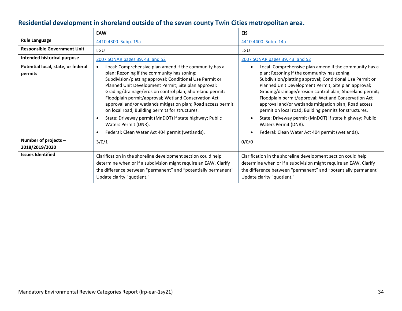#### **Residential development in shoreland outside of the seven county Twin Cities metropolitan area.**

<span id="page-33-0"></span>

|                                               | <b>EAW</b>                                                                                                                                                                                                                                                                                                                                                                                                                                                                                                                                                                                                          | <b>EIS</b>                                                                                                                                                                                                                                                                                                                                                                                                                                                                                                                                                                                             |
|-----------------------------------------------|---------------------------------------------------------------------------------------------------------------------------------------------------------------------------------------------------------------------------------------------------------------------------------------------------------------------------------------------------------------------------------------------------------------------------------------------------------------------------------------------------------------------------------------------------------------------------------------------------------------------|--------------------------------------------------------------------------------------------------------------------------------------------------------------------------------------------------------------------------------------------------------------------------------------------------------------------------------------------------------------------------------------------------------------------------------------------------------------------------------------------------------------------------------------------------------------------------------------------------------|
| <b>Rule Language</b>                          | 4410.4300. Subp. 19a                                                                                                                                                                                                                                                                                                                                                                                                                                                                                                                                                                                                | 4410.4400. Subp. 14a                                                                                                                                                                                                                                                                                                                                                                                                                                                                                                                                                                                   |
| <b>Responsible Government Unit</b>            | LGU                                                                                                                                                                                                                                                                                                                                                                                                                                                                                                                                                                                                                 | LGU                                                                                                                                                                                                                                                                                                                                                                                                                                                                                                                                                                                                    |
| Intended historical purpose                   | 2007 SONAR pages 39, 43, and 52                                                                                                                                                                                                                                                                                                                                                                                                                                                                                                                                                                                     | 2007 SONAR pages 39, 43, and 52                                                                                                                                                                                                                                                                                                                                                                                                                                                                                                                                                                        |
| Potential local, state, or federal<br>permits | Local: Comprehensive plan amend if the community has a<br>$\bullet$<br>plan; Rezoning if the community has zoning;<br>Subdivision/platting approval; Conditional Use Permit or<br>Planned Unit Development Permit; Site plan approval;<br>Grading/drainage/erosion control plan; Shoreland permit;<br>Floodplain permit/approval; Wetland Conservation Act<br>approval and/or wetlands mitigation plan; Road access permit<br>on local road; Building permits for structures.<br>State: Driveway permit (MnDOT) if state highway; Public<br>Waters Permit (DNR).<br>Federal: Clean Water Act 404 permit (wetlands). | Local: Comprehensive plan amend if the community has a<br>plan; Rezoning if the community has zoning;<br>Subdivision/platting approval; Conditional Use Permit or<br>Planned Unit Development Permit; Site plan approval;<br>Grading/drainage/erosion control plan; Shoreland permit;<br>Floodplain permit/approval; Wetland Conservation Act<br>approval and/or wetlands mitigation plan; Road access<br>permit on local road; Building permits for structures.<br>State: Driveway permit (MnDOT) if state highway; Public<br>Waters Permit (DNR).<br>Federal: Clean Water Act 404 permit (wetlands). |
| Number of projects -<br>2018/2019/2020        | 3/0/1                                                                                                                                                                                                                                                                                                                                                                                                                                                                                                                                                                                                               | 0/0/0                                                                                                                                                                                                                                                                                                                                                                                                                                                                                                                                                                                                  |
| <b>Issues Identified</b>                      | Clarification in the shoreline development section could help<br>determine when or if a subdivision might require an EAW. Clarify<br>the difference between "permanent" and "potentially permanent"<br>Update clarity "quotient."                                                                                                                                                                                                                                                                                                                                                                                   | Clarification in the shoreline development section could help<br>determine when or if a subdivision might require an EAW. Clarify<br>the difference between "permanent" and "potentially permanent"<br>Update clarity "quotient."                                                                                                                                                                                                                                                                                                                                                                      |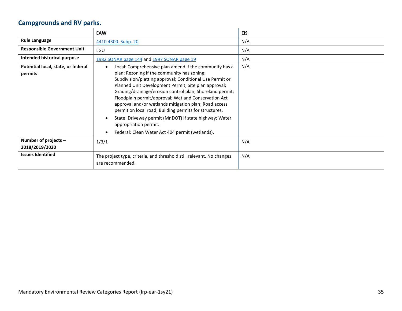# **Campgrounds and RV parks.**

<span id="page-34-0"></span>

|                                               | <b>EAW</b>                                                                                                                                                                                                                                                                                                                                                                                                                                                                                                                                                                                                          | <b>EIS</b> |
|-----------------------------------------------|---------------------------------------------------------------------------------------------------------------------------------------------------------------------------------------------------------------------------------------------------------------------------------------------------------------------------------------------------------------------------------------------------------------------------------------------------------------------------------------------------------------------------------------------------------------------------------------------------------------------|------------|
| <b>Rule Language</b>                          | 4410.4300. Subp. 20                                                                                                                                                                                                                                                                                                                                                                                                                                                                                                                                                                                                 | N/A        |
| <b>Responsible Government Unit</b>            | LGU                                                                                                                                                                                                                                                                                                                                                                                                                                                                                                                                                                                                                 | N/A        |
| Intended historical purpose                   | 1982 SONAR page 144 and 1997 SONAR page 19                                                                                                                                                                                                                                                                                                                                                                                                                                                                                                                                                                          | N/A        |
| Potential local, state, or federal<br>permits | Local: Comprehensive plan amend if the community has a<br>$\bullet$<br>plan; Rezoning if the community has zoning;<br>Subdivision/platting approval; Conditional Use Permit or<br>Planned Unit Development Permit; Site plan approval;<br>Grading/drainage/erosion control plan; Shoreland permit;<br>Floodplain permit/approval; Wetland Conservation Act<br>approval and/or wetlands mitigation plan; Road access<br>permit on local road; Building permits for structures.<br>State: Driveway permit (MnDOT) if state highway; Water<br>appropriation permit.<br>Federal: Clean Water Act 404 permit (wetlands). | N/A        |
| Number of projects -<br>2018/2019/2020        | 1/3/1                                                                                                                                                                                                                                                                                                                                                                                                                                                                                                                                                                                                               | N/A        |
| <b>Issues Identified</b>                      | The project type, criteria, and threshold still relevant. No changes<br>are recommended.                                                                                                                                                                                                                                                                                                                                                                                                                                                                                                                            | N/A        |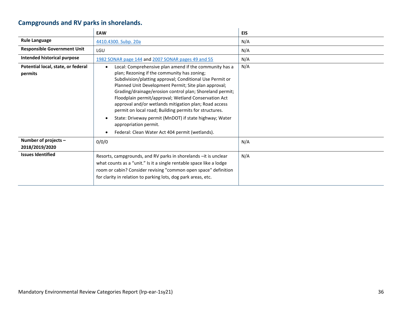# **Campgrounds and RV parks in shorelands.**

<span id="page-35-0"></span>

|                                               | <b>EAW</b>                                                                                                                                                                                                                                                                                                                                              | <b>EIS</b> |
|-----------------------------------------------|---------------------------------------------------------------------------------------------------------------------------------------------------------------------------------------------------------------------------------------------------------------------------------------------------------------------------------------------------------|------------|
| <b>Rule Language</b>                          | 4410.4300. Subp. 20a                                                                                                                                                                                                                                                                                                                                    | N/A        |
| <b>Responsible Government Unit</b>            | LGU                                                                                                                                                                                                                                                                                                                                                     | N/A        |
| <b>Intended historical purpose</b>            | 1982 SONAR page 144 and 2007 SONAR pages 49 and 55                                                                                                                                                                                                                                                                                                      | N/A        |
| Potential local, state, or federal<br>permits | Local: Comprehensive plan amend if the community has a<br>$\bullet$<br>plan; Rezoning if the community has zoning;                                                                                                                                                                                                                                      | N/A        |
|                                               | Subdivision/platting approval; Conditional Use Permit or<br>Planned Unit Development Permit; Site plan approval;<br>Grading/drainage/erosion control plan; Shoreland permit;<br>Floodplain permit/approval; Wetland Conservation Act<br>approval and/or wetlands mitigation plan; Road access<br>permit on local road; Building permits for structures. |            |
|                                               | State: Driveway permit (MnDOT) if state highway; Water<br>appropriation permit.<br>Federal: Clean Water Act 404 permit (wetlands).                                                                                                                                                                                                                      |            |
| Number of projects -<br>2018/2019/2020        | 0/0/0                                                                                                                                                                                                                                                                                                                                                   | N/A        |
| <b>Issues Identified</b>                      | Resorts, campgrounds, and RV parks in shorelands - it is unclear<br>what counts as a "unit." Is it a single rentable space like a lodge<br>room or cabin? Consider revising "common open space" definition<br>for clarity in relation to parking lots, dog park areas, etc.                                                                             | N/A        |

 $\mathbf{r}$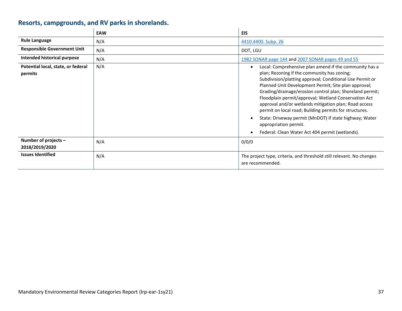# **Resorts, campgrounds, and RV parks in shorelands.**

<span id="page-36-0"></span>

|                                               | <b>EAW</b> | <b>EIS</b>                                                                                                                                                                                                                                                                                                                                                                                                                                                                                                                                                                                             |
|-----------------------------------------------|------------|--------------------------------------------------------------------------------------------------------------------------------------------------------------------------------------------------------------------------------------------------------------------------------------------------------------------------------------------------------------------------------------------------------------------------------------------------------------------------------------------------------------------------------------------------------------------------------------------------------|
| <b>Rule Language</b>                          | N/A        | 4410.4400. Subp. 26                                                                                                                                                                                                                                                                                                                                                                                                                                                                                                                                                                                    |
| <b>Responsible Government Unit</b>            | N/A        | DOT, LGU                                                                                                                                                                                                                                                                                                                                                                                                                                                                                                                                                                                               |
| <b>Intended historical purpose</b>            | N/A        | 1982 SONAR page 144 and 2007 SONAR pages 49 and 55                                                                                                                                                                                                                                                                                                                                                                                                                                                                                                                                                     |
| Potential local, state, or federal<br>permits | N/A        | Local: Comprehensive plan amend if the community has a<br>plan; Rezoning if the community has zoning;<br>Subdivision/platting approval; Conditional Use Permit or<br>Planned Unit Development Permit; Site plan approval;<br>Grading/drainage/erosion control plan; Shoreland permit;<br>Floodplain permit/approval; Wetland Conservation Act<br>approval and/or wetlands mitigation plan; Road access<br>permit on local road; Building permits for structures.<br>State: Driveway permit (MnDOT) if state highway; Water<br>appropriation permit.<br>Federal: Clean Water Act 404 permit (wetlands). |
| Number of projects -<br>2018/2019/2020        | N/A        | 0/0/0                                                                                                                                                                                                                                                                                                                                                                                                                                                                                                                                                                                                  |
| <b>Issues Identified</b>                      | N/A        | The project type, criteria, and threshold still relevant. No changes<br>are recommended.                                                                                                                                                                                                                                                                                                                                                                                                                                                                                                               |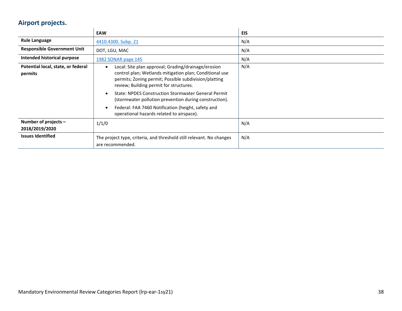### **Airport projects.**

<span id="page-37-0"></span>

|                                               | <b>EAW</b>                                                                                                                                                                                                                                                                                                                                                                                                                                                 | EIS |
|-----------------------------------------------|------------------------------------------------------------------------------------------------------------------------------------------------------------------------------------------------------------------------------------------------------------------------------------------------------------------------------------------------------------------------------------------------------------------------------------------------------------|-----|
| <b>Rule Language</b>                          | 4410.4300. Subp. 21                                                                                                                                                                                                                                                                                                                                                                                                                                        | N/A |
| <b>Responsible Government Unit</b>            | DOT, LGU, MAC                                                                                                                                                                                                                                                                                                                                                                                                                                              | N/A |
| Intended historical purpose                   | 1982 SONAR page 145                                                                                                                                                                                                                                                                                                                                                                                                                                        | N/A |
| Potential local, state, or federal<br>permits | Local: Site plan approval; Grading/drainage/erosion<br>$\bullet$<br>control plan; Wetlands mitigation plan; Conditional use<br>permits; Zoning permit; Possible subdivision/platting<br>review; Building permit for structures.<br><b>State: NPDES Construction Stormwater General Permit</b><br>(stormwater pollution prevention during construction).<br>Federal: FAA 7460 Notification (height, safety and<br>operational hazards related to airspace). | N/A |
| Number of projects -<br>2018/2019/2020        | 1/1/0                                                                                                                                                                                                                                                                                                                                                                                                                                                      | N/A |
| <b>Issues Identified</b>                      | The project type, criteria, and threshold still relevant. No changes<br>are recommended.                                                                                                                                                                                                                                                                                                                                                                   | N/A |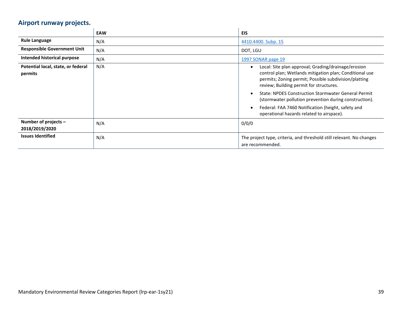# **Airport runway projects.**

<span id="page-38-0"></span>

|                                               | <b>EAW</b> | <b>EIS</b>                                                                                                                                                                                                                                                                                                                                                                                                                                    |
|-----------------------------------------------|------------|-----------------------------------------------------------------------------------------------------------------------------------------------------------------------------------------------------------------------------------------------------------------------------------------------------------------------------------------------------------------------------------------------------------------------------------------------|
| <b>Rule Language</b>                          | N/A        | 4410.4400. Subp. 15                                                                                                                                                                                                                                                                                                                                                                                                                           |
| <b>Responsible Government Unit</b>            | N/A        | DOT, LGU                                                                                                                                                                                                                                                                                                                                                                                                                                      |
| Intended historical purpose                   | N/A        | 1997 SONAR page 19                                                                                                                                                                                                                                                                                                                                                                                                                            |
| Potential local, state, or federal<br>permits | N/A        | Local: Site plan approval; Grading/drainage/erosion<br>control plan; Wetlands mitigation plan; Conditional use<br>permits; Zoning permit; Possible subdivision/platting<br>review; Building permit for structures.<br><b>State: NPDES Construction Stormwater General Permit</b><br>(stormwater pollution prevention during construction).<br>Federal: FAA 7460 Notification (height, safety and<br>operational hazards related to airspace). |
| Number of projects $-$<br>2018/2019/2020      | N/A        | 0/0/0                                                                                                                                                                                                                                                                                                                                                                                                                                         |
| <b>Issues Identified</b>                      | N/A        | The project type, criteria, and threshold still relevant. No changes<br>are recommended.                                                                                                                                                                                                                                                                                                                                                      |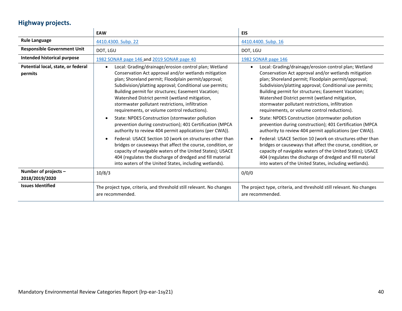# **Highway projects.**

<span id="page-39-0"></span>

|                                               | <b>EAW</b>                                                                                                                                                                                                                                                                                                                                                                                                                                                                                                 | <b>EIS</b>                                                                                                                                                                                                                                                                                                                                                                                                                                                                                    |
|-----------------------------------------------|------------------------------------------------------------------------------------------------------------------------------------------------------------------------------------------------------------------------------------------------------------------------------------------------------------------------------------------------------------------------------------------------------------------------------------------------------------------------------------------------------------|-----------------------------------------------------------------------------------------------------------------------------------------------------------------------------------------------------------------------------------------------------------------------------------------------------------------------------------------------------------------------------------------------------------------------------------------------------------------------------------------------|
| <b>Rule Language</b>                          | 4410.4300. Subp. 22                                                                                                                                                                                                                                                                                                                                                                                                                                                                                        | 4410.4400. Subp. 16                                                                                                                                                                                                                                                                                                                                                                                                                                                                           |
| <b>Responsible Government Unit</b>            | DOT, LGU                                                                                                                                                                                                                                                                                                                                                                                                                                                                                                   | DOT, LGU                                                                                                                                                                                                                                                                                                                                                                                                                                                                                      |
| Intended historical purpose                   | 1982 SONAR page 146 and 2019 SONAR page 40                                                                                                                                                                                                                                                                                                                                                                                                                                                                 | 1982 SONAR page 146                                                                                                                                                                                                                                                                                                                                                                                                                                                                           |
| Potential local, state, or federal<br>permits | Local: Grading/drainage/erosion control plan; Wetland<br>$\bullet$<br>Conservation Act approval and/or wetlands mitigation<br>plan; Shoreland permit; Floodplain permit/approval;<br>Subdivision/platting approval; Conditional use permits;<br>Building permit for structures; Easement Vacation;<br>Watershed District permit (wetland mitigation,<br>stormwater pollutant restrictions, infiltration<br>requirements, or volume control reductions).<br>State: NPDES Construction (stormwater pollution | Local: Grading/drainage/erosion control plan; Wetland<br>Conservation Act approval and/or wetlands mitigation<br>plan; Shoreland permit; Floodplain permit/approval;<br>Subdivision/platting approval; Conditional use permits;<br>Building permit for structures; Easement Vacation;<br>Watershed District permit (wetland mitigation,<br>stormwater pollutant restrictions, infiltration<br>requirements, or volume control reductions).<br>State: NPDES Construction (stormwater pollution |
|                                               | prevention during construction); 401 Certification (MPCA<br>authority to review 404 permit applications (per CWA)).<br>Federal: USACE Section 10 (work on structures other than<br>bridges or causeways that affect the course, condition, or<br>capacity of navigable waters of the United States); USACE<br>404 (regulates the discharge of dredged and fill material<br>into waters of the United States, including wetlands).                                                                          | prevention during construction); 401 Certification (MPCA<br>authority to review 404 permit applications (per CWA)).<br>Federal: USACE Section 10 (work on structures other than<br>bridges or causeways that affect the course, condition, or<br>capacity of navigable waters of the United States); USACE<br>404 (regulates the discharge of dredged and fill material<br>into waters of the United States, including wetlands).                                                             |
| Number of projects -<br>2018/2019/2020        | 10/8/3                                                                                                                                                                                                                                                                                                                                                                                                                                                                                                     | 0/0/0                                                                                                                                                                                                                                                                                                                                                                                                                                                                                         |
| <b>Issues Identified</b>                      | The project type, criteria, and threshold still relevant. No changes<br>are recommended.                                                                                                                                                                                                                                                                                                                                                                                                                   | The project type, criteria, and threshold still relevant. No changes<br>are recommended.                                                                                                                                                                                                                                                                                                                                                                                                      |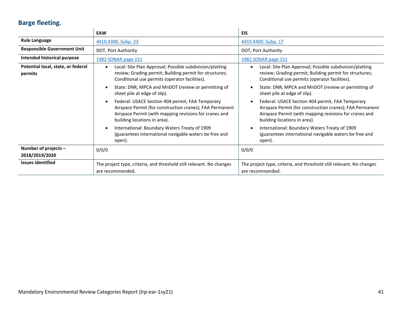# **Barge fleeting.**

<span id="page-40-0"></span>

|                                               | <b>EAW</b>                                                                                                                                                                                             | EIS                                                                                                                                                                                                    |
|-----------------------------------------------|--------------------------------------------------------------------------------------------------------------------------------------------------------------------------------------------------------|--------------------------------------------------------------------------------------------------------------------------------------------------------------------------------------------------------|
| <b>Rule Language</b>                          | 4410.4300. Subp. 23                                                                                                                                                                                    | 4410.4400. Subp. 17                                                                                                                                                                                    |
| <b>Responsible Government Unit</b>            | DOT, Port Authority                                                                                                                                                                                    | DOT, Port Authority                                                                                                                                                                                    |
| Intended historical purpose                   | 1982 SONAR page 151                                                                                                                                                                                    | 1982 SONAR page 151                                                                                                                                                                                    |
| Potential local, state, or federal<br>permits | Local: Site Plan Approval; Possible subdivision/platting<br>$\bullet$<br>review; Grading permit; Building permit for structures;<br>Conditional use permits (operator facilities).                     | Local: Site Plan Approval; Possible subdivision/platting<br>review; Grading permit; Building permit for structures;<br>Conditional use permits (operator facilities).                                  |
|                                               | State: DNR, MPCA and MnDOT (review or permitting of<br>sheet pile at edge of slip).                                                                                                                    | State: DNR, MPCA and MnDOT (review or permitting of<br>sheet pile at edge of slip).                                                                                                                    |
|                                               | Federal: USACE Section 404 permit, FAA Temporary<br>Airspace Permit (for construction cranes); FAA Permanent<br>Airspace Permit (with mapping revisions for cranes and<br>building locations in area). | Federal: USACE Section 404 permit, FAA Temporary<br>Airspace Permit (for construction cranes); FAA Permanent<br>Airspace Permit (with mapping revisions for cranes and<br>building locations in area). |
|                                               | International: Boundary Waters Treaty of 1909<br>(guarantees international navigable waters be free and<br>open).                                                                                      | International: Boundary Waters Treaty of 1909<br>(guarantees international navigable waters be free and<br>open).                                                                                      |
| Number of projects -                          | 0/0/0                                                                                                                                                                                                  | 0/0/0                                                                                                                                                                                                  |
| 2018/2019/2020                                |                                                                                                                                                                                                        |                                                                                                                                                                                                        |
| <b>Issues Identified</b>                      | The project type, criteria, and threshold still relevant. No changes<br>are recommended.                                                                                                               | The project type, criteria, and threshold still relevant. No changes<br>are recommended.                                                                                                               |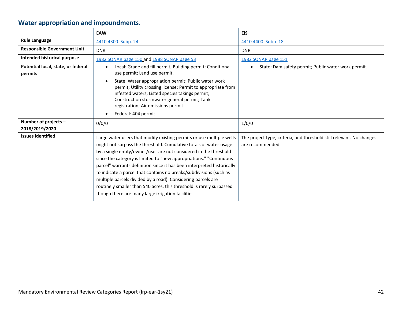# **Water appropriation and impoundments.**

<span id="page-41-0"></span>

|                                               | <b>EAW</b>                                                                                                                                                                                                                                                                                                                                                                                                                                                                                                                                                                                                                         | <b>EIS</b>                                                                               |
|-----------------------------------------------|------------------------------------------------------------------------------------------------------------------------------------------------------------------------------------------------------------------------------------------------------------------------------------------------------------------------------------------------------------------------------------------------------------------------------------------------------------------------------------------------------------------------------------------------------------------------------------------------------------------------------------|------------------------------------------------------------------------------------------|
| <b>Rule Language</b>                          | 4410.4300. Subp. 24                                                                                                                                                                                                                                                                                                                                                                                                                                                                                                                                                                                                                | 4410.4400. Subp. 18                                                                      |
| <b>Responsible Government Unit</b>            | <b>DNR</b>                                                                                                                                                                                                                                                                                                                                                                                                                                                                                                                                                                                                                         | <b>DNR</b>                                                                               |
| Intended historical purpose                   | 1982 SONAR page 150 and 1988 SONAR page 53                                                                                                                                                                                                                                                                                                                                                                                                                                                                                                                                                                                         | 1982 SONAR page 151                                                                      |
| Potential local, state, or federal<br>permits | Local: Grade and fill permit; Building permit; Conditional<br>$\bullet$<br>use permit; Land use permit.                                                                                                                                                                                                                                                                                                                                                                                                                                                                                                                            | State: Dam safety permit; Public water work permit.                                      |
|                                               | State: Water appropriation permit; Public water work<br>permit; Utility crossing license; Permit to appropriate from<br>infested waters; Listed species takings permit;<br>Construction stormwater general permit; Tank<br>registration; Air emissions permit.                                                                                                                                                                                                                                                                                                                                                                     |                                                                                          |
|                                               | Federal: 404 permit.                                                                                                                                                                                                                                                                                                                                                                                                                                                                                                                                                                                                               |                                                                                          |
| Number of projects -<br>2018/2019/2020        | 0/0/0                                                                                                                                                                                                                                                                                                                                                                                                                                                                                                                                                                                                                              | 1/0/0                                                                                    |
| <b>Issues Identified</b>                      | Large water users that modify existing permits or use multiple wells<br>might not surpass the threshold. Cumulative totals of water usage<br>by a single entity/owner/user are not considered in the threshold<br>since the category is limited to "new appropriations." "Continuous<br>parcel" warrants definition since it has been interpreted historically<br>to indicate a parcel that contains no breaks/subdivisions (such as<br>multiple parcels divided by a road). Considering parcels are<br>routinely smaller than 540 acres, this threshold is rarely surpassed<br>though there are many large irrigation facilities. | The project type, criteria, and threshold still relevant. No changes<br>are recommended. |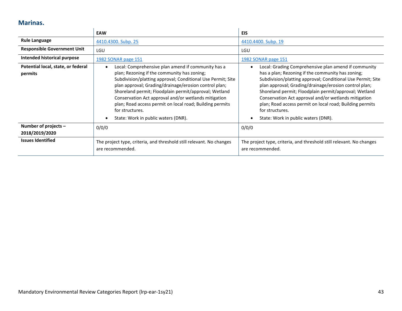#### **Marinas.**

<span id="page-42-0"></span>

|                                               | <b>EAW</b>                                                                                                                                                                                                                                                                                                                                                                                                                                                       | <b>EIS</b>                                                                                                                                                                                                                                                                                                                                                                                                                                                               |
|-----------------------------------------------|------------------------------------------------------------------------------------------------------------------------------------------------------------------------------------------------------------------------------------------------------------------------------------------------------------------------------------------------------------------------------------------------------------------------------------------------------------------|--------------------------------------------------------------------------------------------------------------------------------------------------------------------------------------------------------------------------------------------------------------------------------------------------------------------------------------------------------------------------------------------------------------------------------------------------------------------------|
| <b>Rule Language</b>                          | 4410.4300. Subp. 25                                                                                                                                                                                                                                                                                                                                                                                                                                              | 4410.4400. Subp. 19                                                                                                                                                                                                                                                                                                                                                                                                                                                      |
| <b>Responsible Government Unit</b>            | LGU                                                                                                                                                                                                                                                                                                                                                                                                                                                              | LGU                                                                                                                                                                                                                                                                                                                                                                                                                                                                      |
| Intended historical purpose                   | 1982 SONAR page 151                                                                                                                                                                                                                                                                                                                                                                                                                                              | 1982 SONAR page 151                                                                                                                                                                                                                                                                                                                                                                                                                                                      |
| Potential local, state, or federal<br>permits | Local: Comprehensive plan amend if community has a<br>plan; Rezoning if the community has zoning;<br>Subdivision/platting approval; Conditional Use Permit; Site<br>plan approval; Grading/drainage/erosion control plan;<br>Shoreland permit; Floodplain permit/approval; Wetland<br>Conservation Act approval and/or wetlands mitigation<br>plan; Road access permit on local road; Building permits<br>for structures.<br>State: Work in public waters (DNR). | Local: Grading Comprehensive plan amend if community<br>has a plan; Rezoning if the community has zoning;<br>Subdivision/platting approval; Conditional Use Permit; Site<br>plan approval; Grading/drainage/erosion control plan;<br>Shoreland permit; Floodplain permit/approval; Wetland<br>Conservation Act approval and/or wetlands mitigation<br>plan; Road access permit on local road; Building permits<br>for structures.<br>State: Work in public waters (DNR). |
| Number of projects $-$<br>2018/2019/2020      | 0/0/0                                                                                                                                                                                                                                                                                                                                                                                                                                                            | 0/0/0                                                                                                                                                                                                                                                                                                                                                                                                                                                                    |
| <b>Issues Identified</b>                      | The project type, criteria, and threshold still relevant. No changes<br>are recommended.                                                                                                                                                                                                                                                                                                                                                                         | The project type, criteria, and threshold still relevant. No changes<br>are recommended.                                                                                                                                                                                                                                                                                                                                                                                 |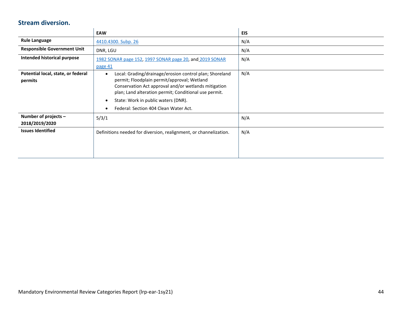#### **Stream diversion.**

<span id="page-43-0"></span>

|                                               | EAW                                                                                                                                                                                                                                                                                                                  | <b>EIS</b> |
|-----------------------------------------------|----------------------------------------------------------------------------------------------------------------------------------------------------------------------------------------------------------------------------------------------------------------------------------------------------------------------|------------|
| <b>Rule Language</b>                          | 4410.4300. Subp. 26                                                                                                                                                                                                                                                                                                  | N/A        |
| <b>Responsible Government Unit</b>            | DNR, LGU                                                                                                                                                                                                                                                                                                             | N/A        |
| Intended historical purpose                   | 1982 SONAR page 152, 1997 SONAR page 20, and 2019 SONAR<br>page 41                                                                                                                                                                                                                                                   | N/A        |
| Potential local, state, or federal<br>permits | Local: Grading/drainage/erosion control plan; Shoreland<br>$\bullet$<br>permit; Floodplain permit/approval; Wetland<br>Conservation Act approval and/or wetlands mitigation<br>plan; Land alteration permit; Conditional use permit.<br>State: Work in public waters (DNR).<br>Federal: Section 404 Clean Water Act. | N/A        |
| Number of projects -<br>2018/2019/2020        | 5/3/1                                                                                                                                                                                                                                                                                                                | N/A        |
| <b>Issues Identified</b>                      | Definitions needed for diversion, realignment, or channelization.                                                                                                                                                                                                                                                    | N/A        |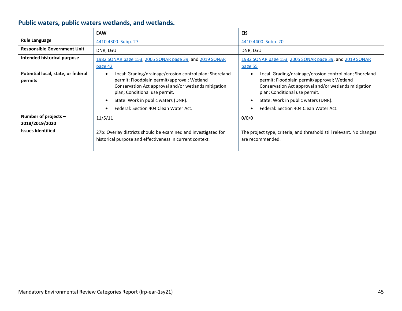# **Public waters, public waters wetlands, and wetlands.**

<span id="page-44-0"></span>

|                                               | <b>EAW</b>                                                                                                                                                                                                   | <b>EIS</b>                                                                                                                                                                                      |
|-----------------------------------------------|--------------------------------------------------------------------------------------------------------------------------------------------------------------------------------------------------------------|-------------------------------------------------------------------------------------------------------------------------------------------------------------------------------------------------|
| <b>Rule Language</b>                          | 4410.4300. Subp. 27                                                                                                                                                                                          | 4410.4400. Subp. 20                                                                                                                                                                             |
| <b>Responsible Government Unit</b>            | DNR, LGU                                                                                                                                                                                                     | DNR, LGU                                                                                                                                                                                        |
| Intended historical purpose                   | 1982 SONAR page 153, 2005 SONAR page 39, and 2019 SONAR                                                                                                                                                      | 1982 SONAR page 153, 2005 SONAR page 39, and 2019 SONAR                                                                                                                                         |
|                                               | page 42                                                                                                                                                                                                      | page 55                                                                                                                                                                                         |
| Potential local, state, or federal<br>permits | Local: Grading/drainage/erosion control plan; Shoreland<br>$\bullet$<br>permit; Floodplain permit/approval; Wetland<br>Conservation Act approval and/or wetlands mitigation<br>plan; Conditional use permit. | Local: Grading/drainage/erosion control plan; Shoreland<br>permit; Floodplain permit/approval; Wetland<br>Conservation Act approval and/or wetlands mitigation<br>plan; Conditional use permit. |
|                                               | State: Work in public waters (DNR).                                                                                                                                                                          | State: Work in public waters (DNR).                                                                                                                                                             |
|                                               | Federal: Section 404 Clean Water Act.                                                                                                                                                                        | Federal: Section 404 Clean Water Act.                                                                                                                                                           |
| Number of projects -<br>2018/2019/2020        | 11/5/11                                                                                                                                                                                                      | 0/0/0                                                                                                                                                                                           |
| <b>Issues Identified</b>                      | 27b: Overlay districts should be examined and investigated for<br>historical purpose and effectiveness in current context.                                                                                   | The project type, criteria, and threshold still relevant. No changes<br>are recommended.                                                                                                        |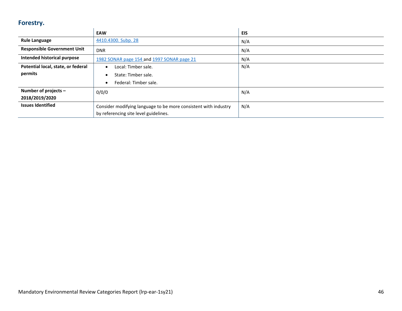### **Forestry.**

<span id="page-45-0"></span>

|                                    | <b>EAW</b>                                                      | EIS |
|------------------------------------|-----------------------------------------------------------------|-----|
| <b>Rule Language</b>               | 4410.4300. Subp. 28                                             | N/A |
| <b>Responsible Government Unit</b> | <b>DNR</b>                                                      | N/A |
| Intended historical purpose        | 1982 SONAR page 154 and 1997 SONAR page 21                      | N/A |
| Potential local, state, or federal | Local: Timber sale.<br>$\bullet$                                | N/A |
| permits                            | State: Timber sale.                                             |     |
|                                    | Federal: Timber sale.<br>٠                                      |     |
| Number of projects -               | 0/0/0                                                           | N/A |
| 2018/2019/2020                     |                                                                 |     |
| <b>Issues Identified</b>           | Consider modifying language to be more consistent with industry | N/A |
|                                    | by referencing site level guidelines.                           |     |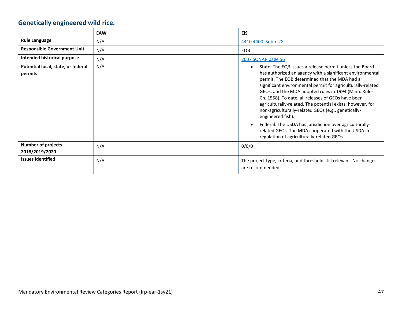# **Genetically engineered wild rice.**

<span id="page-46-1"></span><span id="page-46-0"></span>

|                                               | <b>EAW</b> | <b>EIS</b>                                                                                                                                                                                                                                                                                                                                                                                                                                                                                   |
|-----------------------------------------------|------------|----------------------------------------------------------------------------------------------------------------------------------------------------------------------------------------------------------------------------------------------------------------------------------------------------------------------------------------------------------------------------------------------------------------------------------------------------------------------------------------------|
| <b>Rule Language</b>                          | N/A        | 4410.4400. Subp. 28                                                                                                                                                                                                                                                                                                                                                                                                                                                                          |
| <b>Responsible Government Unit</b>            | N/A        | EQB                                                                                                                                                                                                                                                                                                                                                                                                                                                                                          |
| Intended historical purpose                   | N/A        | 2007 SONAR page 56                                                                                                                                                                                                                                                                                                                                                                                                                                                                           |
| Potential local, state, or federal<br>permits | N/A        | State: The EQB issues a release permit unless the Board<br>has authorized an agency with a significant environmental<br>permit. The EQB determined that the MDA had a<br>significant environmental permit for agriculturally-related<br>GEOs, and the MDA adopted rules in 1994 (Minn. Rules<br>Ch. 1558). To date, all releases of GEOs have been<br>agriculturally-related. The potential exists, however, for<br>non-agriculturally-related GEOs (e.g., genetically-<br>engineered fish). |
|                                               |            | Federal: The USDA has jurisdiction over agriculturally-<br>related GEOs. The MDA cooperated with the USDA in<br>regulation of agriculturally-related GEOs.                                                                                                                                                                                                                                                                                                                                   |
| Number of projects -<br>2018/2019/2020        | N/A        | 0/0/0                                                                                                                                                                                                                                                                                                                                                                                                                                                                                        |
| <b>Issues Identified</b>                      | N/A        | The project type, criteria, and threshold still relevant. No changes<br>are recommended.                                                                                                                                                                                                                                                                                                                                                                                                     |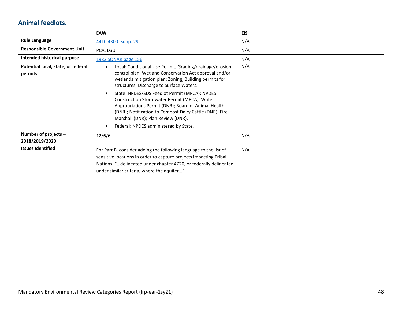#### **Animal feedlots.**

<span id="page-47-0"></span>

|                                               | <b>EAW</b>                                                                                                                                                                                                                                                                                                                                                                                                                                                                                                                             | <b>EIS</b> |
|-----------------------------------------------|----------------------------------------------------------------------------------------------------------------------------------------------------------------------------------------------------------------------------------------------------------------------------------------------------------------------------------------------------------------------------------------------------------------------------------------------------------------------------------------------------------------------------------------|------------|
| <b>Rule Language</b>                          | 4410.4300. Subp. 29                                                                                                                                                                                                                                                                                                                                                                                                                                                                                                                    | N/A        |
| <b>Responsible Government Unit</b>            | PCA, LGU                                                                                                                                                                                                                                                                                                                                                                                                                                                                                                                               | N/A        |
| Intended historical purpose                   | 1982 SONAR page 156                                                                                                                                                                                                                                                                                                                                                                                                                                                                                                                    | N/A        |
| Potential local, state, or federal<br>permits | Local: Conditional Use Permit; Grading/drainage/erosion<br>$\bullet$<br>control plan; Wetland Conservation Act approval and/or<br>wetlands mitigation plan; Zoning; Building permits for<br>structures; Discharge to Surface Waters.<br>State: NPDES/SDS Feedlot Permit (MPCA); NPDES<br>Construction Stormwater Permit (MPCA); Water<br>Appropriations Permit (DNR); Board of Animal Health<br>(DNR); Notification to Compost Dairy Cattle (DNR); Fire<br>Marshall (DNR); Plan Review (DNR).<br>Federal: NPDES administered by State. | N/A        |
| Number of projects -<br>2018/2019/2020        | 12/6/6                                                                                                                                                                                                                                                                                                                                                                                                                                                                                                                                 | N/A        |
| <b>Issues Identified</b>                      | For Part B, consider adding the following language to the list of<br>sensitive locations in order to capture projects impacting Tribal<br>Nations: "delineated under chapter 4720, or federally delineated<br>under similar criteria, where the aquifer"                                                                                                                                                                                                                                                                               | N/A        |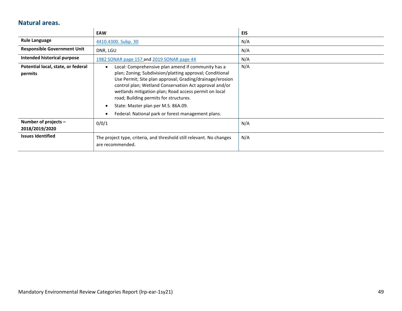#### **Natural areas.**

<span id="page-48-0"></span>

|                                               | <b>EAW</b>                                                                                                                                                                                                                                                                                                                                                                                                                                        | <b>EIS</b> |
|-----------------------------------------------|---------------------------------------------------------------------------------------------------------------------------------------------------------------------------------------------------------------------------------------------------------------------------------------------------------------------------------------------------------------------------------------------------------------------------------------------------|------------|
| <b>Rule Language</b>                          | 4410.4300. Subp. 30                                                                                                                                                                                                                                                                                                                                                                                                                               | N/A        |
| <b>Responsible Government Unit</b>            | DNR, LGU                                                                                                                                                                                                                                                                                                                                                                                                                                          | N/A        |
| Intended historical purpose                   | 1982 SONAR page 157 and 2019 SONAR page 44                                                                                                                                                                                                                                                                                                                                                                                                        | N/A        |
| Potential local, state, or federal<br>permits | Local: Comprehensive plan amend if community has a<br>$\bullet$<br>plan; Zoning; Subdivision/platting approval; Conditional<br>Use Permit; Site plan approval; Grading/drainage/erosion<br>control plan; Wetland Conservation Act approval and/or<br>wetlands mitigation plan; Road access permit on local<br>road; Building permits for structures.<br>State: Master plan per M.S. 86A.09.<br>Federal: National park or forest management plans. | N/A        |
| Number of projects -<br>2018/2019/2020        | 0/0/1                                                                                                                                                                                                                                                                                                                                                                                                                                             | N/A        |
| <b>Issues Identified</b>                      | The project type, criteria, and threshold still relevant. No changes<br>are recommended.                                                                                                                                                                                                                                                                                                                                                          | N/A        |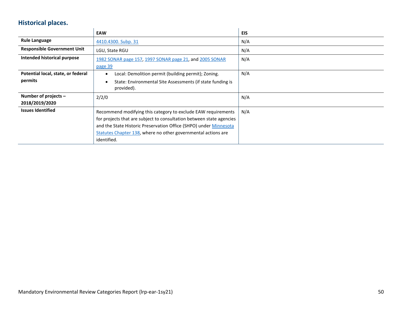# **Historical places.**

<span id="page-49-0"></span>

|                                    | <b>EAW</b>                                                           | <b>EIS</b> |
|------------------------------------|----------------------------------------------------------------------|------------|
| <b>Rule Language</b>               | 4410.4300. Subp. 31                                                  | N/A        |
| <b>Responsible Government Unit</b> | LGU, State RGU                                                       | N/A        |
| Intended historical purpose        | 1982 SONAR page 157, 1997 SONAR page 21, and 2005 SONAR              | N/A        |
|                                    | page 39                                                              |            |
| Potential local, state, or federal | Local: Demolition permit (building permit); Zoning.                  | N/A        |
| permits                            | State: Environmental Site Assessments (if state funding is           |            |
|                                    | provided).                                                           |            |
| Number of projects -               | 2/2/0                                                                | N/A        |
| 2018/2019/2020                     |                                                                      |            |
| <b>Issues Identified</b>           | Recommend modifying this category to exclude EAW requirements        | N/A        |
|                                    | for projects that are subject to consultation between state agencies |            |
|                                    | and the State Historic Preservation Office (SHPO) under Minnesota    |            |
|                                    | Statutes Chapter 138, where no other governmental actions are        |            |
|                                    | identified.                                                          |            |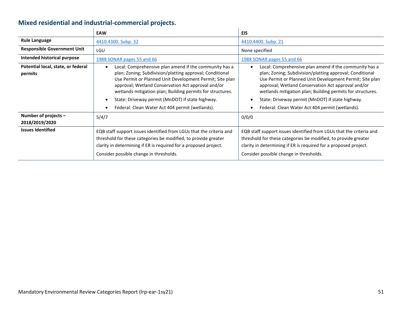# **Mixed residential and industrial-commercial projects.**

<span id="page-50-0"></span>

|                                               | <b>EAW</b>                                                                                                                                                                                                                                                                                                                                                                                                | <b>EIS</b>                                                                                                                                                                                                                                                                                                                                                                                                |
|-----------------------------------------------|-----------------------------------------------------------------------------------------------------------------------------------------------------------------------------------------------------------------------------------------------------------------------------------------------------------------------------------------------------------------------------------------------------------|-----------------------------------------------------------------------------------------------------------------------------------------------------------------------------------------------------------------------------------------------------------------------------------------------------------------------------------------------------------------------------------------------------------|
| <b>Rule Language</b>                          | 4410.4300. Subp. 32                                                                                                                                                                                                                                                                                                                                                                                       | 4410.4400. Subp. 21                                                                                                                                                                                                                                                                                                                                                                                       |
| <b>Responsible Government Unit</b>            | LGU                                                                                                                                                                                                                                                                                                                                                                                                       | None specified                                                                                                                                                                                                                                                                                                                                                                                            |
| Intended historical purpose                   | 1988 SONAR pages 55 and 66                                                                                                                                                                                                                                                                                                                                                                                | 1988 SONAR pages 55 and 66                                                                                                                                                                                                                                                                                                                                                                                |
| Potential local, state, or federal<br>permits | Local: Comprehensive plan amend if the community has a<br>plan; Zoning; Subdivision/platting approval; Conditional<br>Use Permit or Planned Unit Development Permit; Site plan<br>approval; Wetland Conservation Act approval and/or<br>wetlands mitigation plan; Building permits for structures.<br>State: Driveway permit (MnDOT) if state highway.<br>Federal: Clean Water Act 404 permit (wetlands). | Local: Comprehensive plan amend if the community has a<br>plan; Zoning; Subdivision/platting approval; Conditional<br>Use Permit or Planned Unit Development Permit; Site plan<br>approval; Wetland Conservation Act approval and/or<br>wetlands mitigation plan; Building permits for structures.<br>State: Driveway permit (MnDOT) if state highway.<br>Federal: Clean Water Act 404 permit (wetlands). |
| Number of projects -<br>2018/2019/2020        | 5/4/7                                                                                                                                                                                                                                                                                                                                                                                                     | 0/0/0                                                                                                                                                                                                                                                                                                                                                                                                     |
| <b>Issues Identified</b>                      | EQB staff support issues identified from LGUs that the criteria and<br>threshold for these categories be modified, to provide greater<br>clarity in determining if ER is required for a proposed project.<br>Consider possible change in thresholds.                                                                                                                                                      | EQB staff support issues identified from LGUs that the criteria and<br>threshold for these categories be modified, to provide greater<br>clarity in determining if ER is required for a proposed project.<br>Consider possible change in thresholds.                                                                                                                                                      |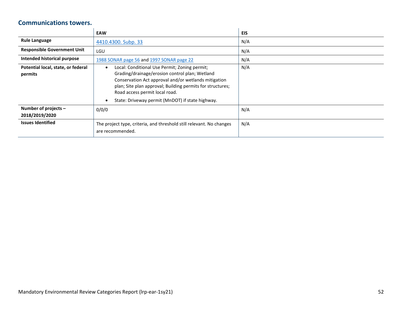#### **Communications towers.**

<span id="page-51-0"></span>

|                                               | <b>EAW</b>                                                                                                                                                                                                                                                                                                  | <b>EIS</b> |
|-----------------------------------------------|-------------------------------------------------------------------------------------------------------------------------------------------------------------------------------------------------------------------------------------------------------------------------------------------------------------|------------|
| <b>Rule Language</b>                          | 4410.4300. Subp. 33                                                                                                                                                                                                                                                                                         | N/A        |
| <b>Responsible Government Unit</b>            | LGU                                                                                                                                                                                                                                                                                                         | N/A        |
| Intended historical purpose                   | 1988 SONAR page 56 and 1997 SONAR page 22                                                                                                                                                                                                                                                                   | N/A        |
| Potential local, state, or federal<br>permits | Local: Conditional Use Permit; Zoning permit;<br>Grading/drainage/erosion control plan; Wetland<br>Conservation Act approval and/or wetlands mitigation<br>plan; Site plan approval; Building permits for structures;<br>Road access permit local road.<br>State: Driveway permit (MnDOT) if state highway. | N/A        |
| Number of projects -<br>2018/2019/2020        | 0/0/0                                                                                                                                                                                                                                                                                                       | N/A        |
| <b>Issues Identified</b>                      | The project type, criteria, and threshold still relevant. No changes<br>are recommended.                                                                                                                                                                                                                    | N/A        |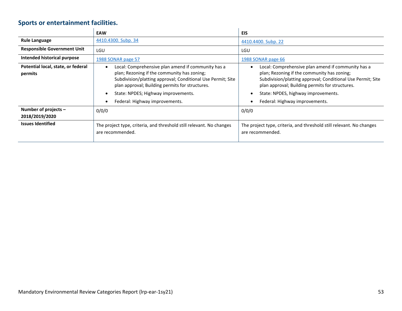# **Sports or entertainment facilities.**

<span id="page-52-0"></span>

|                                               | <b>EAW</b>                                                                                                                                                                                                                                                                                   | EIS                                                                                                                                                                                                                                                                                          |
|-----------------------------------------------|----------------------------------------------------------------------------------------------------------------------------------------------------------------------------------------------------------------------------------------------------------------------------------------------|----------------------------------------------------------------------------------------------------------------------------------------------------------------------------------------------------------------------------------------------------------------------------------------------|
| <b>Rule Language</b>                          | 4410.4300. Subp. 34                                                                                                                                                                                                                                                                          | 4410.4400. Subp. 22                                                                                                                                                                                                                                                                          |
| <b>Responsible Government Unit</b>            | LGU                                                                                                                                                                                                                                                                                          | LGU                                                                                                                                                                                                                                                                                          |
| Intended historical purpose                   | 1988 SONAR page 57                                                                                                                                                                                                                                                                           | 1988 SONAR page 66                                                                                                                                                                                                                                                                           |
| Potential local, state, or federal<br>permits | Local: Comprehensive plan amend if community has a<br>plan; Rezoning if the community has zoning;<br>Subdivision/platting approval; Conditional Use Permit; Site<br>plan approval; Building permits for structures.<br>State: NPDES; Highway improvements.<br>Federal: Highway improvements. | Local: Comprehensive plan amend if community has a<br>plan; Rezoning if the community has zoning;<br>Subdivision/platting approval; Conditional Use Permit; Site<br>plan approval; Building permits for structures.<br>State: NPDES, highway improvements.<br>Federal: Highway improvements. |
| Number of projects -<br>2018/2019/2020        | 0/0/0                                                                                                                                                                                                                                                                                        | 0/0/0                                                                                                                                                                                                                                                                                        |
| <b>Issues Identified</b>                      | The project type, criteria, and threshold still relevant. No changes<br>are recommended.                                                                                                                                                                                                     | The project type, criteria, and threshold still relevant. No changes<br>are recommended.                                                                                                                                                                                                     |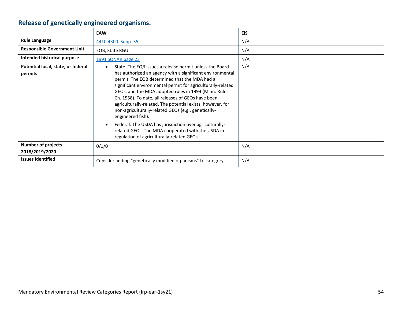# **Release of genetically engineered organisms.**

<span id="page-53-0"></span>

|                                               | <b>EAW</b>                                                                                                                                                                                                                                                                                                                                                                                                                                                                                                                                                                                                                                                              | <b>EIS</b> |
|-----------------------------------------------|-------------------------------------------------------------------------------------------------------------------------------------------------------------------------------------------------------------------------------------------------------------------------------------------------------------------------------------------------------------------------------------------------------------------------------------------------------------------------------------------------------------------------------------------------------------------------------------------------------------------------------------------------------------------------|------------|
| <b>Rule Language</b>                          | 4410.4300. Subp. 35                                                                                                                                                                                                                                                                                                                                                                                                                                                                                                                                                                                                                                                     | N/A        |
| <b>Responsible Government Unit</b>            | EQB, State RGU                                                                                                                                                                                                                                                                                                                                                                                                                                                                                                                                                                                                                                                          | N/A        |
| Intended historical purpose                   | 1991 SONAR page 23                                                                                                                                                                                                                                                                                                                                                                                                                                                                                                                                                                                                                                                      | N/A        |
| Potential local, state, or federal<br>permits | State: The EQB issues a release permit unless the Board<br>$\bullet$<br>has authorized an agency with a significant environmental<br>permit. The EQB determined that the MDA had a<br>significant environmental permit for agriculturally-related<br>GEOs, and the MDA adopted rules in 1994 (Minn. Rules<br>Ch. 1558). To date, all releases of GEOs have been<br>agriculturally-related. The potential exists, however, for<br>non-agriculturally-related GEOs (e.g., genetically-<br>engineered fish).<br>Federal: The USDA has jurisdiction over agriculturally-<br>related GEOs. The MDA cooperated with the USDA in<br>regulation of agriculturally-related GEOs. | N/A        |
| Number of projects -<br>2018/2019/2020        | 0/1/0                                                                                                                                                                                                                                                                                                                                                                                                                                                                                                                                                                                                                                                                   | N/A        |
| <b>Issues Identified</b>                      | Consider adding "genetically modified organisms" to category.                                                                                                                                                                                                                                                                                                                                                                                                                                                                                                                                                                                                           | N/A        |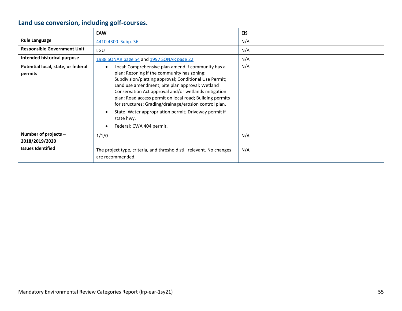# **Land use conversion, including golf-courses.**

<span id="page-54-0"></span>

|                                               | <b>EAW</b>                                                                                                                                                                                                                                                                                                                                                                                                                                                                                      | <b>EIS</b> |
|-----------------------------------------------|-------------------------------------------------------------------------------------------------------------------------------------------------------------------------------------------------------------------------------------------------------------------------------------------------------------------------------------------------------------------------------------------------------------------------------------------------------------------------------------------------|------------|
| <b>Rule Language</b>                          | 4410.4300. Subp. 36                                                                                                                                                                                                                                                                                                                                                                                                                                                                             | N/A        |
| <b>Responsible Government Unit</b>            | LGU                                                                                                                                                                                                                                                                                                                                                                                                                                                                                             | N/A        |
| Intended historical purpose                   | 1988 SONAR page 54 and 1997 SONAR page 22                                                                                                                                                                                                                                                                                                                                                                                                                                                       | N/A        |
| Potential local, state, or federal<br>permits | Local: Comprehensive plan amend if community has a<br>plan; Rezoning if the community has zoning;<br>Subdivision/platting approval; Conditional Use Permit;<br>Land use amendment; Site plan approval; Wetland<br>Conservation Act approval and/or wetlands mitigation<br>plan; Road access permit on local road; Building permits<br>for structures; Grading/drainage/erosion control plan.<br>State: Water appropriation permit; Driveway permit if<br>state hwy.<br>Federal: CWA 404 permit. | N/A        |
| Number of projects -<br>2018/2019/2020        | 1/1/0                                                                                                                                                                                                                                                                                                                                                                                                                                                                                           | N/A        |
| <b>Issues Identified</b>                      | The project type, criteria, and threshold still relevant. No changes<br>are recommended.                                                                                                                                                                                                                                                                                                                                                                                                        | N/A        |

 $\sim$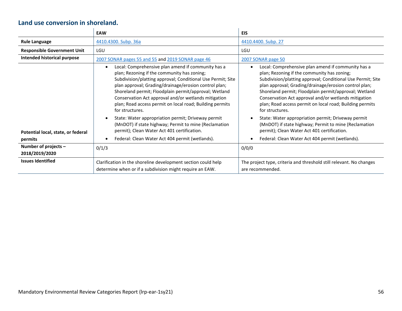### **Land use conversion in shoreland.**

<span id="page-55-0"></span>

|                                          | <b>EAW</b>                                                                                                                                                                                                                                                                                                                                                                                                                | <b>EIS</b>                                                                                                                                                                                                                                                                                                                                                                                                                |
|------------------------------------------|---------------------------------------------------------------------------------------------------------------------------------------------------------------------------------------------------------------------------------------------------------------------------------------------------------------------------------------------------------------------------------------------------------------------------|---------------------------------------------------------------------------------------------------------------------------------------------------------------------------------------------------------------------------------------------------------------------------------------------------------------------------------------------------------------------------------------------------------------------------|
| <b>Rule Language</b>                     | 4410.4300. Subp. 36a                                                                                                                                                                                                                                                                                                                                                                                                      | 4410.4400. Subp. 27                                                                                                                                                                                                                                                                                                                                                                                                       |
| <b>Responsible Government Unit</b>       | LGU                                                                                                                                                                                                                                                                                                                                                                                                                       | LGU                                                                                                                                                                                                                                                                                                                                                                                                                       |
| Intended historical purpose              | 2007 SONAR pages 55 and 55 and 2019 SONAR page 46                                                                                                                                                                                                                                                                                                                                                                         | 2007 SONAR page 50                                                                                                                                                                                                                                                                                                                                                                                                        |
|                                          | Local: Comprehensive plan amend if community has a<br>plan; Rezoning if the community has zoning;<br>Subdivision/platting approval; Conditional Use Permit; Site<br>plan approval; Grading/drainage/erosion control plan;<br>Shoreland permit; Floodplain permit/approval; Wetland<br>Conservation Act approval and/or wetlands mitigation<br>plan; Road access permit on local road; Building permits<br>for structures. | Local: Comprehensive plan amend if community has a<br>plan; Rezoning if the community has zoning;<br>Subdivision/platting approval; Conditional Use Permit; Site<br>plan approval; Grading/drainage/erosion control plan;<br>Shoreland permit; Floodplain permit/approval; Wetland<br>Conservation Act approval and/or wetlands mitigation<br>plan; Road access permit on local road; Building permits<br>for structures. |
| Potential local, state, or federal       | State: Water appropriation permit; Driveway permit<br>(MnDOT) if state highway; Permit to mine (Reclamation<br>permit); Clean Water Act 401 certification.                                                                                                                                                                                                                                                                | State: Water appropriation permit; Driveway permit<br>(MnDOT) if state highway; Permit to mine (Reclamation<br>permit); Clean Water Act 401 certification.                                                                                                                                                                                                                                                                |
| permits                                  | Federal: Clean Water Act 404 permit (wetlands).                                                                                                                                                                                                                                                                                                                                                                           | Federal: Clean Water Act 404 permit (wetlands).                                                                                                                                                                                                                                                                                                                                                                           |
| Number of projects $-$<br>2018/2019/2020 | 0/1/3                                                                                                                                                                                                                                                                                                                                                                                                                     | 0/0/0                                                                                                                                                                                                                                                                                                                                                                                                                     |
| <b>Issues Identified</b>                 | Clarification in the shoreline development section could help<br>determine when or if a subdivision might require an EAW.                                                                                                                                                                                                                                                                                                 | The project type, criteria and threshold still relevant. No changes<br>are recommended.                                                                                                                                                                                                                                                                                                                                   |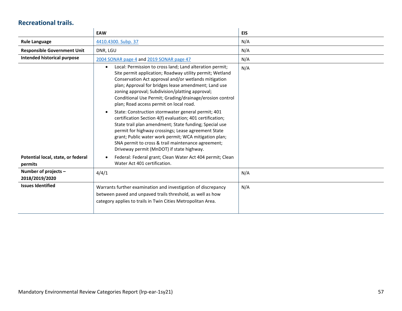### **Recreational trails.**

<span id="page-56-0"></span>

|                                               | <b>EAW</b>                                                                                                                                                                                                                                                                                                                                                                                                                                                                                                                                                                                                                                                                                                                                                                                                  | <b>EIS</b> |
|-----------------------------------------------|-------------------------------------------------------------------------------------------------------------------------------------------------------------------------------------------------------------------------------------------------------------------------------------------------------------------------------------------------------------------------------------------------------------------------------------------------------------------------------------------------------------------------------------------------------------------------------------------------------------------------------------------------------------------------------------------------------------------------------------------------------------------------------------------------------------|------------|
| <b>Rule Language</b>                          | 4410.4300. Subp. 37                                                                                                                                                                                                                                                                                                                                                                                                                                                                                                                                                                                                                                                                                                                                                                                         | N/A        |
| <b>Responsible Government Unit</b>            | DNR, LGU                                                                                                                                                                                                                                                                                                                                                                                                                                                                                                                                                                                                                                                                                                                                                                                                    | N/A        |
| Intended historical purpose                   | 2004 SONAR page 4 and 2019 SONAR page 47                                                                                                                                                                                                                                                                                                                                                                                                                                                                                                                                                                                                                                                                                                                                                                    | N/A        |
|                                               | Local: Permission to cross land; Land alteration permit;<br>$\bullet$<br>Site permit application; Roadway utility permit; Wetland<br>Conservation Act approval and/or wetlands mitigation<br>plan; Approval for bridges lease amendment; Land use<br>zoning approval; Subdivision/platting approval;<br>Conditional Use Permit; Grading/drainage/erosion control<br>plan; Road access permit on local road.<br>State: Construction stormwater general permit; 401<br>certification Section 4(f) evaluation; 401 certification;<br>State trail plan amendment; State funding; Special use<br>permit for highway crossings; Lease agreement State<br>grant; Public water work permit; WCA mitigation plan;<br>SNA permit to cross & trail maintenance agreement;<br>Driveway permit (MnDOT) if state highway. | N/A        |
| Potential local, state, or federal<br>permits | Federal: Federal grant; Clean Water Act 404 permit; Clean<br>Water Act 401 certification.                                                                                                                                                                                                                                                                                                                                                                                                                                                                                                                                                                                                                                                                                                                   |            |
| Number of projects -<br>2018/2019/2020        | 4/4/1                                                                                                                                                                                                                                                                                                                                                                                                                                                                                                                                                                                                                                                                                                                                                                                                       | N/A        |
| <b>Issues Identified</b>                      | Warrants further examination and investigation of discrepancy<br>between paved and unpaved trails threshold, as well as how<br>category applies to trails in Twin Cities Metropolitan Area.                                                                                                                                                                                                                                                                                                                                                                                                                                                                                                                                                                                                                 | N/A        |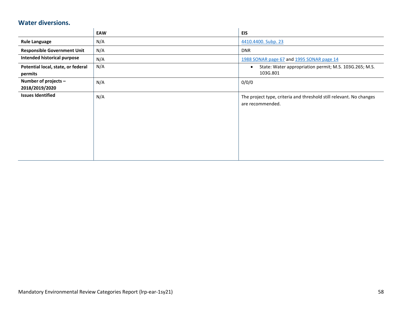#### **Water diversions.**

<span id="page-57-0"></span>

|                                               | EAW | <b>EIS</b>                                                                              |
|-----------------------------------------------|-----|-----------------------------------------------------------------------------------------|
| <b>Rule Language</b>                          | N/A | 4410.4400. Subp. 23                                                                     |
| <b>Responsible Government Unit</b>            | N/A | <b>DNR</b>                                                                              |
| Intended historical purpose                   | N/A | 1988 SONAR page 67 and 1995 SONAR page 14                                               |
| Potential local, state, or federal<br>permits | N/A | State: Water appropriation permit; M.S. 103G.265; M.S.<br>$\bullet$<br>103G.801         |
| Number of projects -<br>2018/2019/2020        | N/A | 0/0/0                                                                                   |
| <b>Issues Identified</b>                      | N/A | The project type, criteria and threshold still relevant. No changes<br>are recommended. |